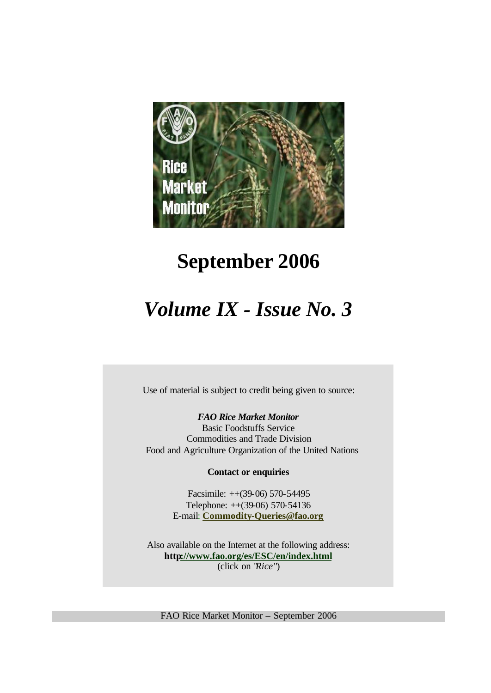

# **September 2006**

# *Volume IX - Issue No. 3*

Use of material is subject to credit being given to source:

*FAO Rice Market Monitor* Basic Foodstuffs Service Commodities and Trade Division Food and Agriculture Organization of the United Nations

**Contact or enquiries**

Facsimile: ++(39-06) 570-54495 Telephone: ++(39-06) 570-54136 E-mail: **Commodity-Queries@fao.org**

Also available on the Internet at the following address: **http://www.fao.org/es/ESC/en/index.html** (click on "*Rice*")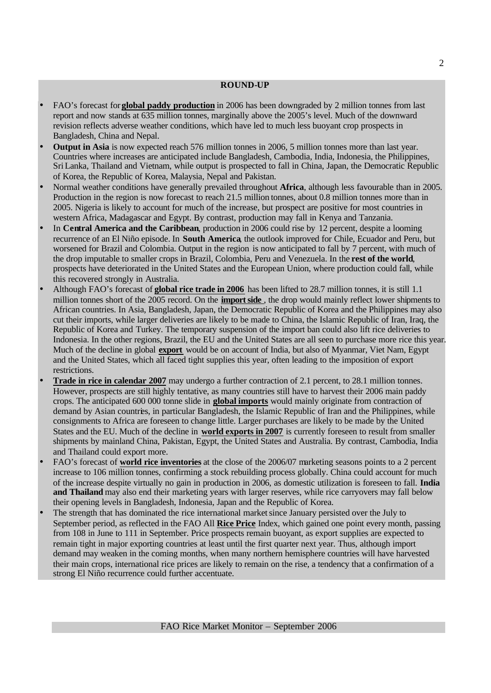#### **ROUND-UP**

- FAO's forecast for **global paddy production** in 2006 has been downgraded by 2 million tonnes from last report and now stands at 635 million tonnes, marginally above the 2005's level. Much of the downward revision reflects adverse weather conditions, which have led to much less buoyant crop prospects in Bangladesh, China and Nepal.
- **Output in Asia** is now expected reach 576 million tonnes in 2006, 5 million tonnes more than last year. Countries where increases are anticipated include Bangladesh, Cambodia, India, Indonesia, the Philippines, SriLanka, Thailand and Vietnam, while output is prospected to fall in China, Japan, the Democratic Republic of Korea, the Republic of Korea, Malaysia, Nepal and Pakistan.
- Normal weather conditions have generally prevailed throughout **Africa**, although less favourable than in 2005. Production in the region is now forecast to reach 21.5 million tonnes, about 0.8 million tonnes more than in 2005. Nigeria is likely to account for much of the increase, but prospect are positive for most countries in western Africa, Madagascar and Egypt. By contrast, production may fall in Kenya and Tanzania.
- In **Central America and the Caribbean**, production in 2006 could rise by 12 percent, despite a looming recurrence of an El Niño episode. In **South America**, the outlook improved for Chile, Ecuador and Peru, but worsened for Brazil and Colombia. Output in the region is now anticipated to fall by 7 percent, with much of the drop imputable to smaller crops in Brazil, Colombia, Peru and Venezuela. In the **rest of the world**, prospects have deteriorated in the United States and the European Union, where production could fall, while this recovered strongly in Australia.
- Although FAO's forecast of **global rice trade in 2006** has been lifted to 28.7 million tonnes, it is still 1.1 million tonnes short of the 2005 record. On the **import side** , the drop would mainly reflect lower shipments to African countries. In Asia, Bangladesh, Japan, the Democratic Republic of Korea and the Philippines may also cut their imports, while larger deliveries are likely to be made to China, the Islamic Republic of Iran, Iraq, the Republic of Korea and Turkey. The temporary suspension of the import ban could also lift rice deliveries to Indonesia. In the other regions, Brazil, the EU and the United States are all seen to purchase more rice this year. Much of the decline in global **export** would be on account of India, but also of Myanmar, Viet Nam, Egypt and the United States, which all faced tight supplies this year, often leading to the imposition of export restrictions.
- **Trade in rice in calendar 2007** may undergo a further contraction of 2.1 percent, to 28.1 million tonnes. However, prospects are still highly tentative, as many countries still have to harvest their 2006 main paddy crops. The anticipated 600 000 tonne slide in **global imports** would mainly originate from contraction of demand by Asian countries, in particular Bangladesh, the Islamic Republic of Iran and the Philippines, while consignments to Africa are foreseen to change little. Larger purchases are likely to be made by the United States and the EU. Much of the decline in **world exports in 2007** is currently foreseen to result from smaller shipments by mainland China, Pakistan, Egypt, the United States and Australia. By contrast, Cambodia, India and Thailand could export more.
- FAO's forecast of **world rice inventories** at the close of the 2006/07 marketing seasons points to a 2 percent increase to 106 million tonnes, confirming a stock rebuilding process globally. China could account for much of the increase despite virtually no gain in production in 2006, as domestic utilization is foreseen to fall. **India and Thailand** may also end their marketing years with larger reserves, while rice carryovers may fall below their opening levels in Bangladesh, Indonesia, Japan and the Republic of Korea.
- The strength that has dominated the rice international market since January persisted over the July to September period, as reflected in the FAO All **Rice Price** Index, which gained one point every month, passing from 108 in June to 111 in September. Price prospects remain buoyant, as export supplies are expected to remain tight in major exporting countries at least until the first quarter next year. Thus, although import demand may weaken in the coming months, when many northern hemisphere countries will have harvested their main crops, international rice prices are likely to remain on the rise, a tendency that a confirmation of a strong El Niño recurrence could further accentuate.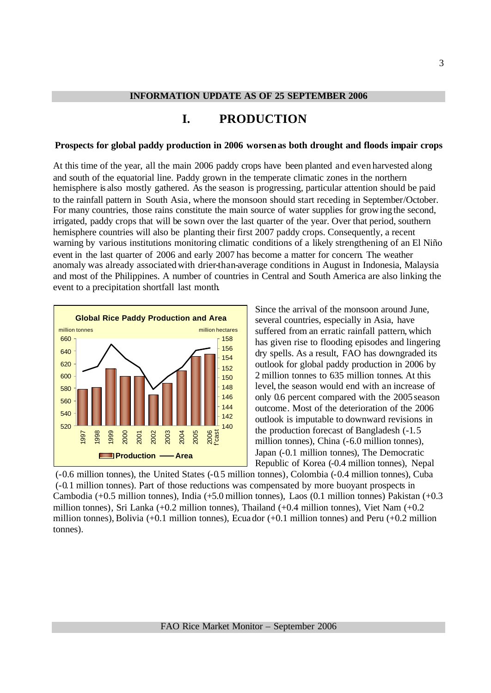# **I. PRODUCTION**

#### **Prospects for global paddy production in 2006 worsen as both drought and floods impair crops**

At this time of the year, all the main 2006 paddy crops have been planted and even harvested along and south of the equatorial line. Paddy grown in the temperate climatic zones in the northern hemisphere is also mostly gathered. As the season is progressing, particular attention should be paid to the rainfall pattern in South Asia, where the monsoon should start receding in September/October. For many countries, those rains constitute the main source of water supplies for growing the second, irrigated, paddy crops that will be sown over the last quarter of the year. Over that period, southern hemisphere countries will also be planting their first 2007 paddy crops. Consequently, a recent warning by various institutions monitoring climatic conditions of a likely strengthening of an El Niño event in the last quarter of 2006 and early 2007 has become a matter for concern. The weather anomaly was already associatedwith drier-than-average conditions in August in Indonesia, Malaysia and most of the Philippines. A number of countries in Central and South America are also linking the event to a precipitation shortfall last month.



Since the arrival of the monsoon around June, several countries, especially in Asia, have suffered from an erratic rainfall pattern, which has given rise to flooding episodes and lingering dry spells. As a result, FAO has downgraded its outlook for global paddy production in 2006 by 2 million tonnes to 635 million tonnes. At this level, the season would end with an increase of only 0.6 percent compared with the 2005 season outcome. Most of the deterioration of the 2006 outlook is imputable to downward revisions in the production forecast of Bangladesh (-1.5 million tonnes), China (-6.0 million tonnes), Japan (-0.1 million tonnes), The Democratic Republic of Korea (-0.4 million tonnes), Nepal

 (-0.6 million tonnes), the United States (-0.5 million tonnes), Colombia (-0.4 million tonnes), Cuba (-0.1 million tonnes). Part of those reductions was compensated by more buoyant prospects in Cambodia (+0.5 million tonnes), India (+5.0 million tonnes), Laos (0.1 million tonnes) Pakistan (+0.3 million tonnes), Sri Lanka (+0.2 million tonnes), Thailand (+0.4 million tonnes), Viet Nam (+0.2 million tonnes), Bolivia (+0.1 million tonnes), Ecuador (+0.1 million tonnes) and Peru (+0.2 million tonnes).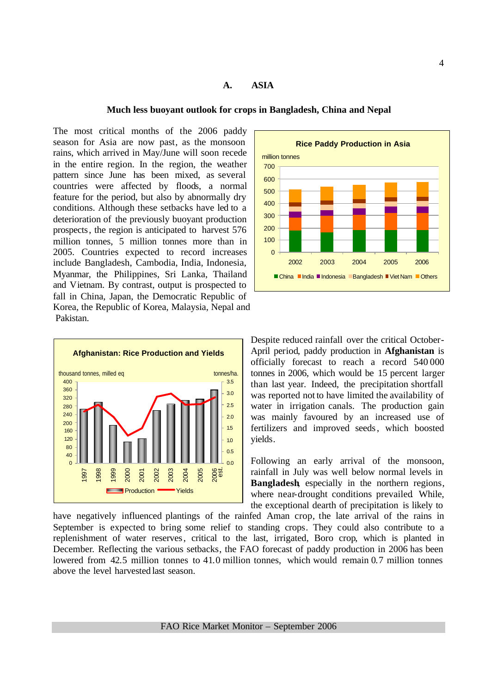#### **A. ASIA**

#### **Much less buoyant outlook for crops in Bangladesh, China and Nepal**

The most critical months of the 2006 paddy season for Asia are now past, as the monsoon rains, which arrived in May/June will soon recede in the entire region. In the region, the weather pattern since June has been mixed, as several countries were affected by floods, a normal feature for the period, but also by abnormally dry conditions. Although these setbacks have led to a deterioration of the previously buoyant production prospects, the region is anticipated to harvest 576 million tonnes, 5 million tonnes more than in 2005. Countries expected to record increases include Bangladesh, Cambodia, India, Indonesia, Myanmar, the Philippines, Sri Lanka, Thailand and Vietnam. By contrast, output is prospected to fall in China, Japan, the Democratic Republic of Korea, the Republic of Korea, Malaysia, Nepal and Pakistan.





Despite reduced rainfall over the critical October-April period, paddy production in **Afghanistan** is officially forecast to reach a record 540 000 tonnes in 2006, which would be 15 percent larger than last year. Indeed, the precipitation shortfall was reported not to have limited the availability of water in irrigation canals. The production gain was mainly favoured by an increased use of fertilizers and improved seeds, which boosted yields.

Following an early arrival of the monsoon, rainfall in July was well below normal levels in **Bangladesh**, especially in the northern regions, where near-drought conditions prevailed While, the exceptional dearth of precipitation is likely to

have negatively influenced plantings of the rainfed Aman crop, the late arrival of the rains in September is expected to bring some relief to standing crops. They could also contribute to a replenishment of water reserves, critical to the last, irrigated, Boro crop, which is planted in December. Reflecting the various setbacks, the FAO forecast of paddy production in 2006 has been lowered from 42.5 million tonnes to 41.0 million tonnes, which would remain 0.7 million tonnes above the level harvested last season.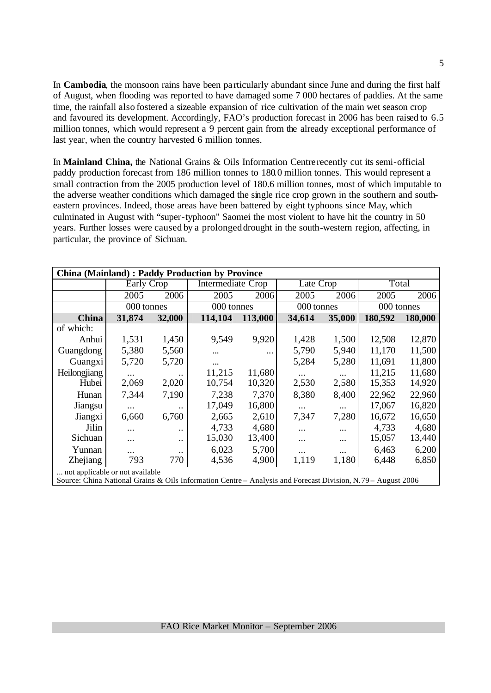In **Cambodia**, the monsoon rains have been pa rticularly abundant since June and during the first half of August, when flooding was reported to have damaged some 7 000 hectares of paddies. At the same time, the rainfall also fostered a sizeable expansion of rice cultivation of the main wet season crop and favoured its development. Accordingly, FAO's production forecast in 2006 has been raised to 6.5 million tonnes, which would represent a 9 percent gain from the already exceptional performance of last year, when the country harvested 6 million tonnes.

In **Mainland China,** the National Grains & Oils Information Centre recently cut its semi-official paddy production forecast from 186 million tonnes to 180.0 million tonnes. This would represent a small contraction from the 2005 production level of 180.6 million tonnes, most of which imputable to the adverse weather conditions which damaged the single rice crop grown in the southern and southeastern provinces. Indeed, those areas have been battered by eight typhoons since May, which culminated in August with "super-typhoon" Saomei the most violent to have hit the country in 50 years. Further losses were caused by a prolonged drought in the south-western region, affecting, in particular, the province of Sichuan.

|                                                                                                              | <b>China (Mainland): Paddy Production by Province</b> |                      |            |                   |            |           |            |         |  |  |  |  |
|--------------------------------------------------------------------------------------------------------------|-------------------------------------------------------|----------------------|------------|-------------------|------------|-----------|------------|---------|--|--|--|--|
|                                                                                                              | Early Crop                                            |                      |            | Intermediate Crop |            | Late Crop |            | Total   |  |  |  |  |
|                                                                                                              | 2005                                                  | 2006                 | 2005       | 2006              | 2005       | 2006      | 2005       | 2006    |  |  |  |  |
|                                                                                                              | 000 tonnes                                            |                      | 000 tonnes |                   | 000 tonnes |           | 000 tonnes |         |  |  |  |  |
| China                                                                                                        | 31,874                                                | 32,000               | 114,104    | 113,000           | 34,614     | 35,000    | 180,592    | 180,000 |  |  |  |  |
| of which:                                                                                                    |                                                       |                      |            |                   |            |           |            |         |  |  |  |  |
| Anhui                                                                                                        | 1,531                                                 | 1,450                | 9,549      | 9,920             | 1,428      | 1,500     | 12,508     | 12,870  |  |  |  |  |
| Guangdong                                                                                                    | 5,380                                                 | 5,560                |            |                   | 5,790      | 5,940     | 11,170     | 11,500  |  |  |  |  |
| Guangxi                                                                                                      | 5,720                                                 | 5,720                | $\cdots$   |                   | 5,284      | 5,280     | 11,691     | 11,800  |  |  |  |  |
| Heilongjiang                                                                                                 |                                                       | $\ddotsc$            | 11,215     | 11,680            | $\cdots$   | $\cdots$  | 11,215     | 11,680  |  |  |  |  |
| Hubei                                                                                                        | 2,069                                                 | 2,020                | 10,754     | 10,320            | 2,530      | 2,580     | 15,353     | 14,920  |  |  |  |  |
| Hunan                                                                                                        | 7,344                                                 | 7,190                | 7,238      | 7,370             | 8,380      | 8,400     | 22,962     | 22,960  |  |  |  |  |
| Jiangsu                                                                                                      |                                                       | $\ddot{\phantom{0}}$ | 17,049     | 16,800            | $\cdots$   | $\cdots$  | 17,067     | 16,820  |  |  |  |  |
| Jiangxi                                                                                                      | 6,660                                                 | 6,760                | 2,665      | 2,610             | 7,347      | 7,280     | 16,672     | 16,650  |  |  |  |  |
| Jilin                                                                                                        | .                                                     | $\ddot{\phantom{0}}$ | 4,733      | 4,680             | $\cdots$   |           | 4,733      | 4,680   |  |  |  |  |
| Sichuan                                                                                                      |                                                       | $\ddot{\phantom{0}}$ | 15,030     | 13,400            |            |           | 15,057     | 13,440  |  |  |  |  |
| Yunnan                                                                                                       | .                                                     | $\ddot{\phantom{0}}$ | 6,023      | 5,700             | $\cdots$   | $\cdots$  | 6,463      | 6,200   |  |  |  |  |
| Zhejiang                                                                                                     | 793                                                   | 770                  | 4,536      | 4,900             | 1,119      | 1,180     | 6,448      | 6,850   |  |  |  |  |
| not applicable or not available.                                                                             |                                                       |                      |            |                   |            |           |            |         |  |  |  |  |
| Source: China National Grains & Oils Information Centre – Analysis and Forecast Division, N.79 – August 2006 |                                                       |                      |            |                   |            |           |            |         |  |  |  |  |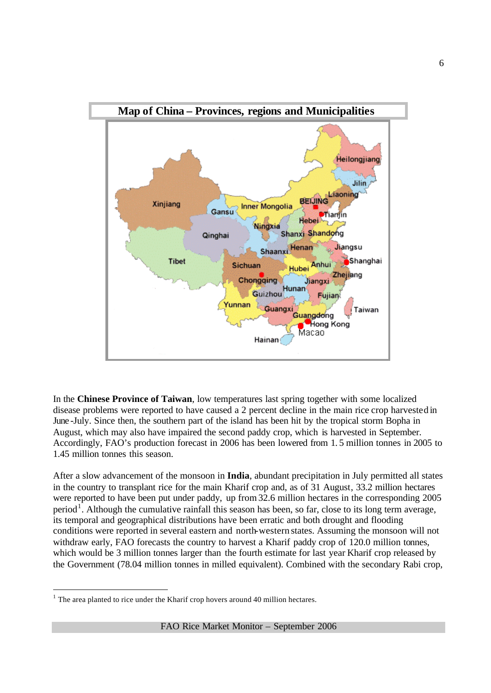

In the **Chinese Province of Taiwan**, low temperatures last spring together with some localized disease problems were reported to have caused a 2 percent decline in the main rice crop harvested in June -July. Since then, the southern part of the island has been hit by the tropical storm Bopha in August, which may also have impaired the second paddy crop, which is harvested in September. Accordingly, FAO's production forecast in 2006 has been lowered from 1. 5 million tonnes in 2005 to 1.45 million tonnes this season.

After a slow advancement of the monsoon in **India**, abundant precipitation in July permitted all states in the country to transplant rice for the main Kharif crop and, as of 31 August, 33.2 million hectares were reported to have been put under paddy, up from 32.6 million hectares in the corresponding 2005 period<sup>1</sup>. Although the cumulative rainfall this season has been, so far, close to its long term average, its temporal and geographical distributions have been erratic and both drought and flooding conditions were reported in several eastern and north-western states. Assuming the monsoon will not withdraw early, FAO forecasts the country to harvest a Kharif paddy crop of 120.0 million tonnes, which would be 3 million tonnes larger than the fourth estimate for last year Kharif crop released by the Government (78.04 million tonnes in milled equivalent). Combined with the secondary Rabi crop,

l

 $<sup>1</sup>$  The area planted to rice under the Kharif crop hovers around 40 million hectares.</sup>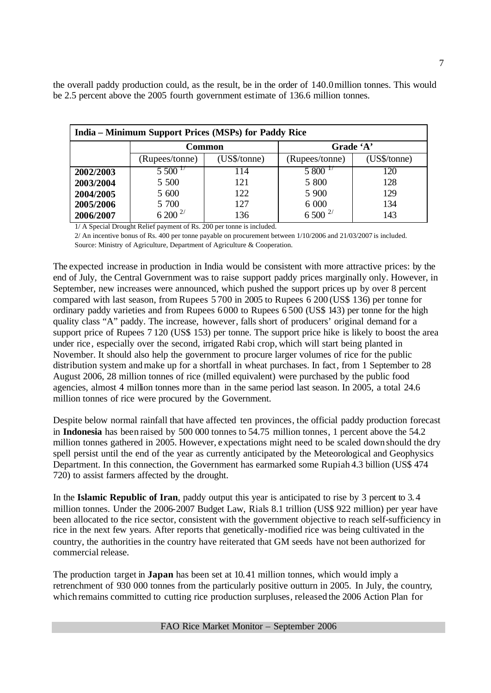the overall paddy production could, as the result, be in the order of 140.0 million tonnes. This would be 2.5 percent above the 2005 fourth government estimate of 136.6 million tonnes.

|           | India – Minimum Support Prices (MSPs) for Paddy Rice |              |                |              |  |  |  |  |  |  |  |  |
|-----------|------------------------------------------------------|--------------|----------------|--------------|--|--|--|--|--|--|--|--|
|           |                                                      | Common       | Grade 'A'      |              |  |  |  |  |  |  |  |  |
|           | (Rupees/tonne)                                       | (US\$/tonne) | (Rupees/tonne) | (US\$/tonne) |  |  |  |  |  |  |  |  |
| 2002/2003 | 5500 <sup>17</sup>                                   | 114          | $5800^{17}$    | 120          |  |  |  |  |  |  |  |  |
| 2003/2004 | 5 500                                                | 121          | 5 800          | 128          |  |  |  |  |  |  |  |  |
| 2004/2005 | 5 600                                                | 122          | 5 900          | 129          |  |  |  |  |  |  |  |  |
| 2005/2006 | 5 700                                                | 127          | 6 0 0 0        | 134          |  |  |  |  |  |  |  |  |
| 2006/2007 | $5\,200$ $^{2/}$                                     | 136          | $6500^{2/}$    | 143          |  |  |  |  |  |  |  |  |

1/ A Special Drought Relief payment of Rs. 200 per tonne is included.

2/ An incentive bonus of Rs. 400 per tonne payable on procurement between 1/10/2006 and 21/03/2007 is included. Source: Ministry of Agriculture, Department of Agriculture & Cooperation.

The expected increase in production in India would be consistent with more attractive prices: by the end of July, the Central Government was to raise support paddy prices marginally only. However, in September, new increases were announced, which pushed the support prices up by over 8 percent compared with last season, from Rupees 5 700 in 2005 to Rupees 6 200 (US\$ 136) per tonne for ordinary paddy varieties and from Rupees  $6000$  to Rupees  $6500$  (US\$ 143) per tonne for the high quality class "A" paddy. The increase, however, falls short of producers' original demand for a support price of Rupees 7 120 (US\$ 153) per tonne. The support price hike is likely to boost the area under rice, especially over the second, irrigated Rabi crop, which will start being planted in November. It should also help the government to procure larger volumes of rice for the public distribution system and make up for a shortfall in wheat purchases. In fact, from 1 September to 28 August 2006, 28 million tonnes of rice (milled equivalent) were purchased by the public food agencies, almost 4 million tonnes more than in the same period last season. In 2005, a total 24.6 million tonnes of rice were procured by the Government.

Despite below normal rainfall that have affected ten provinces, the official paddy production forecast in **Indonesia** has been raised by 500 000 tonnes to 54.75 million tonnes, 1 percent above the 54.2 million tonnes gathered in 2005. However, expectations might need to be scaled down should the dry spell persist until the end of the year as currently anticipated by the Meteorological and Geophysics Department. In this connection, the Government has earmarked some Rupiah 4.3 billion (US\$ 474 720) to assist farmers affected by the drought.

In the **Islamic Republic of Iran**, paddy output this year is anticipated to rise by 3 percent to 3. 4 million tonnes. Under the 2006-2007 Budget Law, Rials 8.1 trillion (US\$ 922 million) per year have been allocated to the rice sector, consistent with the government objective to reach self-sufficiency in rice in the next few years. After reports that genetically-modified rice was being cultivated in the country, the authorities in the country have reiterated that GM seeds have not been authorized for commercial release.

The production target in **Japan** has been set at 10.41 million tonnes, which would imply a retrenchment of 930 000 tonnes from the particularly positive outturn in 2005. In July, the country, which remains committed to cutting rice production surpluses, released the 2006 Action Plan for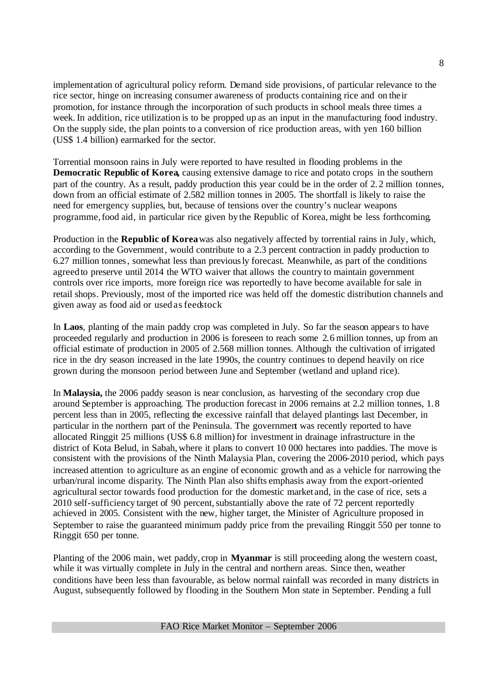implementation of agricultural policy reform. Demand side provisions, of particular relevance to the rice sector, hinge on increasing consumer awareness of products containing rice and on their promotion, for instance through the incorporation of such products in school meals three times a week. In addition, rice utilization is to be propped up as an input in the manufacturing food industry. On the supply side, the plan points to a conversion of rice production areas, with yen 160 billion (US\$ 1.4 billion) earmarked for the sector.

Torrential monsoon rains in July were reported to have resulted in flooding problems in the **Democratic Republic of Korea,** causing extensive damage to rice and potato crops in the southern part of the country. As a result, paddy production this year could be in the order of 2.2 million tonnes, down from an official estimate of 2.582 million tonnes in 2005. The shortfall is likely to raise the need for emergency supplies, but, because of tensions over the country's nuclear weapons programme,food aid, in particular rice given by the Republic of Korea, might be less forthcoming.

Production in the **Republic of Korea** was also negatively affected by torrential rains in July, which, according to the Government, would contribute to a 2.3 percent contraction in paddy production to 6.27 million tonnes, somewhat less than previously forecast. Meanwhile, as part of the conditions agreed to preserve until 2014 the WTO waiver that allows the country to maintain government controls over rice imports, more foreign rice was reportedly to have become available for sale in retail shops. Previously, most of the imported rice was held off the domestic distribution channels and given away as food aid or used as feedstock

In **Laos**, planting of the main paddy crop was completed in July. So far the season appears to have proceeded regularly and production in 2006 is foreseen to reach some 2.6 million tonnes, up from an official estimate of production in 2005 of 2.568 million tonnes. Although the cultivation of irrigated rice in the dry season increased in the late 1990s, the country continues to depend heavily on rice grown during the monsoon period between June and September (wetland and upland rice).

In **Malaysia,** the 2006 paddy season is near conclusion, as harvesting of the secondary crop due around September is approaching. The production forecast in 2006 remains at 2.2 million tonnes, 1.8 percent less than in 2005, reflecting the excessive rainfall that delayed plantings last December, in particular in the northern part of the Peninsula. The government was recently reported to have allocated Ringgit 25 millions (US\$ 6.8 million) for investment in drainage infrastructure in the district of Kota Belud, in Sabah, where it plans to convert 10 000 hectares into paddies. The move is consistent with the provisions of the Ninth Malaysia Plan, covering the 2006-2010 period, which pays increased attention to agriculture as an engine of economic growth and as a vehicle for narrowing the urban/rural income disparity. The Ninth Plan also shifts emphasis away from the export-oriented agricultural sector towards food production for the domestic market and, in the case of rice, sets a 2010 self-sufficiency target of 90 percent, substantially above the rate of 72 percent reportedly achieved in 2005. Consistent with the new, higher target, the Minister of Agriculture proposed in September to raise the guaranteed minimum paddy price from the prevailing Ringgit 550 per tonne to Ringgit 650 per tonne.

Planting of the 2006 main, wet paddy, crop in **Myanmar** is still proceeding along the western coast, while it was virtually complete in July in the central and northern areas. Since then, weather conditions have been less than favourable, as below normal rainfall was recorded in many districts in August, subsequently followed by flooding in the Southern Mon state in September. Pending a full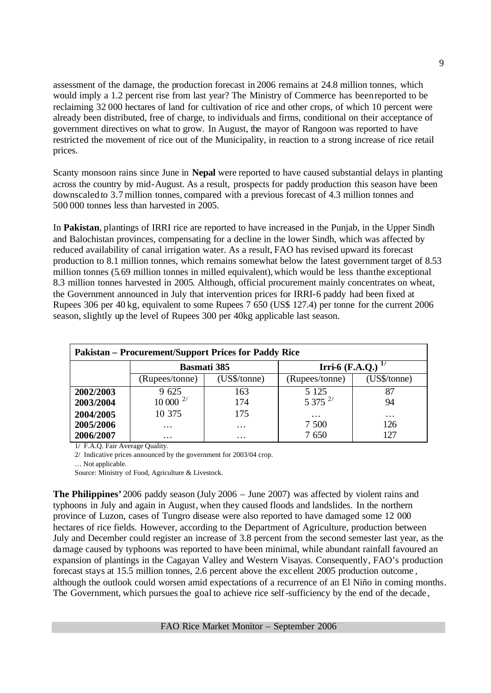assessment of the damage, the production forecast in 2006 remains at 24.8 million tonnes, which would imply a 1.2 percent rise from last year? The Ministry of Commerce has been reported to be reclaiming 32 000 hectares of land for cultivation of rice and other crops, of which 10 percent were already been distributed, free of charge, to individuals and firms, conditional on their acceptance of government directives on what to grow. In August, the mayor of Rangoon was reported to have restricted the movement of rice out of the Municipality, in reaction to a strong increase of rice retail prices.

Scanty monsoon rains since June in **Nepal** were reported to have caused substantial delays in planting across the country by mid-August. As a result, prospects for paddy production this season have been downscaled to 3.7 million tonnes, compared with a previous forecast of 4.3 million tonnes and 500 000 tonnes less than harvested in 2005.

In **Pakistan**, plantings of IRRI rice are reported to have increased in the Punjab, in the Upper Sindh and Balochistan provinces, compensating for a decline in the lower Sindh, which was affected by reduced availability of canal irrigation water. As a result, FAO has revised upward its forecast production to 8.1 million tonnes, which remains somewhat below the latest government target of 8.53 million tonnes (5.69 million tonnes in milled equivalent), which would be less than the exceptional 8.3 million tonnes harvested in 2005. Although, official procurement mainly concentrates on wheat, the Government announced in July that intervention prices for IRRI-6 paddy had been fixed at Rupees 306 per 40 kg, equivalent to some Rupees 7 650 (US\$ 127.4) per tonne for the current 2006 season, slightly up the level of Rupees 300 per 40kg applicable last season.

|           | <b>Pakistan – Procurement/Support Prices for Paddy Rice</b> |                   |                    |              |  |  |  |  |  |  |  |
|-----------|-------------------------------------------------------------|-------------------|--------------------|--------------|--|--|--|--|--|--|--|
|           | <b>Basmati</b> 385                                          |                   | Irri- $6$ (F.A.Q.) |              |  |  |  |  |  |  |  |
|           | (Rupees/tonne)                                              | (US\$/tonne)      | (Rupees/tonne)     | (US\$/tonne) |  |  |  |  |  |  |  |
| 2002/2003 | 9 625                                                       | 163               | 5 1 2 5            | 87           |  |  |  |  |  |  |  |
| 2003/2004 | $10\,000^{-2/}$                                             | 174               | $5375^{2/}$        | 94           |  |  |  |  |  |  |  |
| 2004/2005 | 10 375                                                      | 175               | $\cdots$           | $\ddotsc$    |  |  |  |  |  |  |  |
| 2005/2006 | $\cdots$                                                    | $\cdot\cdot\cdot$ | 7 500              | 126          |  |  |  |  |  |  |  |
| 2006/2007 | $\cdots$                                                    | $\cdots$          | 7 650              |              |  |  |  |  |  |  |  |

1/ F.A.Q. Fair Average Quality.

2/ Indicative prices announced by the government for 2003/04 crop.

… Not applicable.

Source: Ministry of Food, Agriculture & Livestock.

**The Philippines'** 2006 paddy season (July 2006 – June 2007) was affected by violent rains and typhoons in July and again in August, when they caused floods and landslides. In the northern province of Luzon, cases of Tungro disease were also reported to have damaged some 12 000 hectares of rice fields. However, according to the Department of Agriculture, production between July and December could register an increase of 3.8 percent from the second semester last year, as the damage caused by typhoons was reported to have been minimal, while abundant rainfall favoured an expansion of plantings in the Cagayan Valley and Western Visayas. Consequently, FAO's production forecast stays at 15.5 million tonnes, 2.6 percent above the exc ellent 2005 production outcome , although the outlook could worsen amid expectations of a recurrence of an El Niño in coming months. The Government, which pursues the goal to achieve rice self-sufficiency by the end of the decade,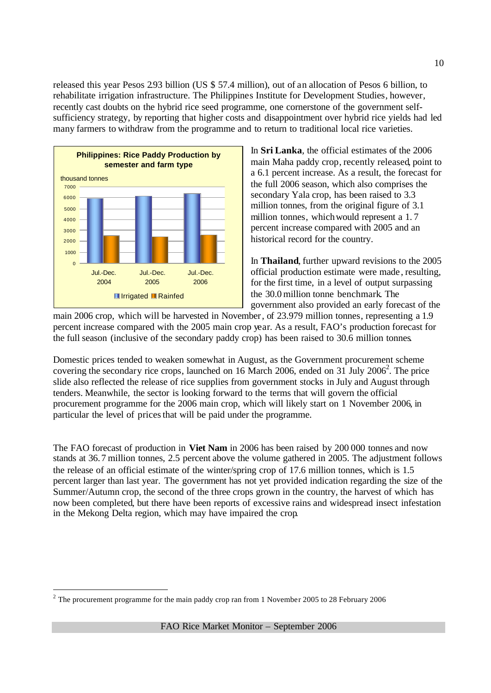released this year Pesos 2.93 billion (US  $$57.4$  million), out of an allocation of Pesos 6 billion, to rehabilitate irrigation infrastructure. The Philippines Institute for Development Studies, however, recently cast doubts on the hybrid rice seed programme, one cornerstone of the government selfsufficiency strategy, by reporting that higher costs and disappointment over hybrid rice yields had led many farmers to withdraw from the programme and to return to traditional local rice varieties.



l

In **Sri Lanka**, the official estimates of the 2006 main Maha paddy crop, recently released, point to a 6.1 percent increase. As a result, the forecast for the full 2006 season, which also comprises the secondary Yala crop, has been raised to 3.3 million tonnes, from the original figure of 3.1 million tonnes, which would represent a 1. 7 percent increase compared with 2005 and an historical record for the country.

In **Thailand**, further upward revisions to the 2005 official production estimate were made , resulting, for the first time, in a level of output surpassing the 30.0 million tonne benchmark. The government also provided an early forecast of the

main 2006 crop, which will be harvested in November, of 23.979 million tonnes, representing a 1.9 percent increase compared with the 2005 main crop year. As a result, FAO's production forecast for the full season (inclusive of the secondary paddy crop) has been raised to 30.6 million tonnes.

Domestic prices tended to weaken somewhat in August, as the Government procurement scheme covering the secondary rice crops, launched on 16 March 2006, ended on 31 July 2006<sup>2</sup>. The price slide also reflected the release of rice supplies from government stocks in July and August through tenders. Meanwhile, the sector is looking forward to the terms that will govern the official procurement programme for the 2006 main crop, which will likely start on 1 November 2006, in particular the level of prices that will be paid under the programme.

The FAO forecast of production in **Viet Nam** in 2006 has been raised by 200 000 tonnes and now stands at 36.7 million tonnes, 2.5 percent above the volume gathered in 2005. The adjustment follows the release of an official estimate of the winter/spring crop of 17.6 million tonnes, which is 1.5 percent larger than last year. The government has not yet provided indication regarding the size of the Summer/Autumn crop, the second of the three crops grown in the country, the harvest of which has now been completed, but there have been reports of excessive rains and widespread insect infestation in the Mekong Delta region, which may have impaired the crop.

<sup>&</sup>lt;sup>2</sup> The procurement programme for the main paddy crop ran from 1 November 2005 to 28 February 2006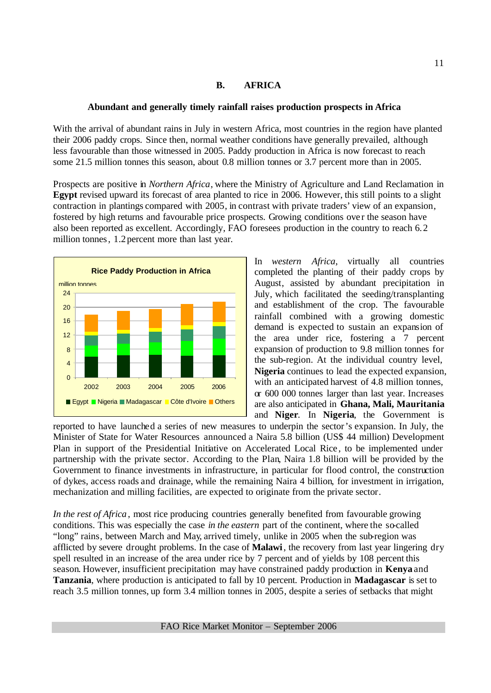# **B. AFRICA**

# **Abundant and generally timely rainfall raises production prospects in Africa**

With the arrival of abundant rains in July in western Africa, most countries in the region have planted their 2006 paddy crops. Since then, normal weather conditions have generally prevailed, although less favourable than those witnessed in 2005. Paddy production in Africa is now forecast to reach some 21.5 million tonnes this season, about 0.8 million tonnes or 3.7 percent more than in 2005.

Prospects are positive in *Northern Africa*, where the Ministry of Agriculture and Land Reclamation in **Egypt** revised upward its forecast of area planted to rice in 2006. However, this still points to a slight contraction in plantings compared with 2005, in contrast with private traders' view of an expansion, fostered by high returns and favourable price prospects. Growing conditions over the season have also been reported as excellent. Accordingly, FAO foresees production in the country to reach 6.2 million tonnes, 1.2 percent more than last year.



In *western Africa*, virtually all countries completed the planting of their paddy crops by August, assisted by abundant precipitation in July, which facilitated the seeding/transplanting and establishment of the crop. The favourable rainfall combined with a growing domestic demand is expected to sustain an expansion of the area under rice, fostering a 7 percent expansion of production to 9.8 million tonnes for the sub-region. At the individual country level, **Nigeria** continues to lead the expected expansion, with an anticipated harvest of 4.8 million tonnes, or 600 000 tonnes larger than last year. Increases are also anticipated in **Ghana, Mali, Mauritania** and **Niger**. In **Nigeria**, the Government is

reported to have launched a series of new measures to underpin the sector's expansion. In July, the Minister of State for Water Resources announced a Naira 5.8 billion (US\$ 44 million) Development Plan in support of the Presidential Initiative on Accelerated Local Rice , to be implemented under partnership with the private sector. According to the Plan, Naira 1.8 billion will be provided by the Government to finance investments in infrastructure, in particular for flood control, the construction of dykes, access roads and drainage, while the remaining Naira 4 billion, for investment in irrigation, mechanization and milling facilities, are expected to originate from the private sector.

*In the rest of Africa*, most rice producing countries generally benefited from favourable growing conditions. This was especially the case *in the eastern* part of the continent, where the so-called "long" rains, between March and May, arrived timely, unlike in 2005 when the sub-region was afflicted by severe drought problems. In the case of **Malawi**, the recovery from last year lingering dry spell resulted in an increase of the area under rice by 7 percent and of yields by 108 percent this season. However, insufficient precipitation may have constrained paddy production in **Kenya** and **Tanzania**, where production is anticipated to fall by 10 percent. Production in **Madagascar** is set to reach 3.5 million tonnes, up form 3.4 million tonnes in 2005, despite a series of setbacks that might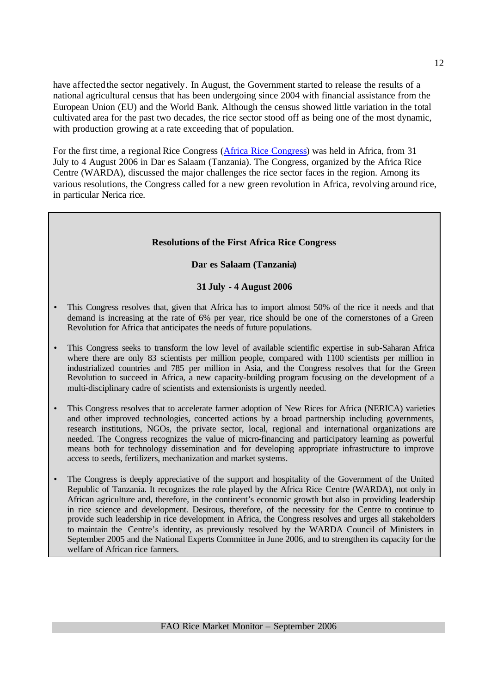have affected the sector negatively. In August, the Government started to release the results of a national agricultural census that has been undergoing since 2004 with financial assistance from the European Union (EU) and the World Bank. Although the census showed little variation in the total cultivated area for the past two decades, the rice sector stood off as being one of the most dynamic, with production growing at a rate exceeding that of population.

For the first time, a regional Rice Congress (Africa Rice Congress) was held in Africa, from 31 July to 4 August 2006 in Dar es Salaam (Tanzania). The Congress, organized by the Africa Rice Centre (WARDA), discussed the major challenges the rice sector faces in the region. Among its various resolutions, the Congress called for a new green revolution in Africa, revolving around rice, in particular Nerica rice.

# **Resolutions of the First Africa Rice Congress**

# **Dar es Salaam (Tanzania)**

# **31 July - 4 August 2006**

- This Congress resolves that, given that Africa has to import almost 50% of the rice it needs and that demand is increasing at the rate of 6% per year, rice should be one of the cornerstones of a Green Revolution for Africa that anticipates the needs of future populations.
- This Congress seeks to transform the low level of available scientific expertise in sub-Saharan Africa where there are only 83 scientists per million people, compared with 1100 scientists per million in industrialized countries and 785 per million in Asia, and the Congress resolves that for the Green Revolution to succeed in Africa, a new capacity-building program focusing on the development of a multi-disciplinary cadre of scientists and extensionists is urgently needed.
- This Congress resolves that to accelerate farmer adoption of New Rices for Africa (NERICA) varieties and other improved technologies, concerted actions by a broad partnership including governments, research institutions, NGOs, the private sector, local, regional and international organizations are needed. The Congress recognizes the value of micro-financing and participatory learning as powerful means both for technology dissemination and for developing appropriate infrastructure to improve access to seeds, fertilizers, mechanization and market systems.
- The Congress is deeply appreciative of the support and hospitality of the Government of the United Republic of Tanzania. It recognizes the role played by the Africa Rice Centre (WARDA), not only in African agriculture and, therefore, in the continent's economic growth but also in providing leadership in rice science and development. Desirous, therefore, of the necessity for the Centre to continue to provide such leadership in rice development in Africa, the Congress resolves and urges all stakeholders to maintain the Centre's identity, as previously resolved by the WARDA Council of Ministers in September 2005 and the National Experts Committee in June 2006, and to strengthen its capacity for the welfare of African rice farmers.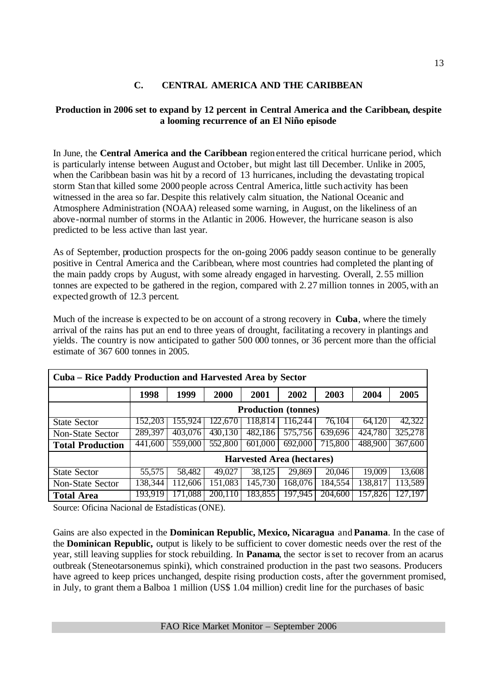# **C. CENTRAL AMERICA AND THE CARIBBEAN**

# **Production in 2006 set to expand by 12 percent in Central America and the Caribbean, despite a looming recurrence of an El Niño episode**

In June, the **Central America and the Caribbean** region entered the critical hurricane period, which is particularly intense between August and October, but might last till December. Unlike in 2005, when the Caribbean basin was hit by a record of 13 hurricanes, including the devastating tropical storm Stan that killed some 2000 people across Central America, little such activity has been witnessed in the area so far. Despite this relatively calm situation, the National Oceanic and Atmosphere Administration (NOAA) released some warning, in August, on the likeliness of an above-normal number of storms in the Atlantic in 2006. However, the hurricane season is also predicted to be less active than last year.

As of September, production prospects for the on-going 2006 paddy season continue to be generally positive in Central America and the Caribbean, where most countries had completed the planting of the main paddy crops by August, with some already engaged in harvesting. Overall, 2.55 million tonnes are expected to be gathered in the region, compared with 2.27 million tonnes in 2005, with an expected growth of 12.3 percent.

Much of the increase is expected to be on account of a strong recovery in **Cuba**, where the timely arrival of the rains has put an end to three years of drought, facilitating a recovery in plantings and yields. The country is now anticipated to gather 500 000 tonnes, or 36 percent more than the official estimate of 367 600 tonnes in 2005.

| Cuba – Rice Paddy Production and Harvested Area by Sector |         |         |         |                                  |         |         |         |         |  |  |  |
|-----------------------------------------------------------|---------|---------|---------|----------------------------------|---------|---------|---------|---------|--|--|--|
|                                                           | 1998    | 1999    | 2000    | 2001                             | 2002    | 2003    | 2004    | 2005    |  |  |  |
|                                                           |         |         |         | <b>Production</b> (tonnes)       |         |         |         |         |  |  |  |
| <b>State Sector</b>                                       | 152.203 | 155,924 | 122.670 | 118.814                          | 116.244 | 76.104  | 64.120  | 42,322  |  |  |  |
| Non-State Sector                                          | 289,397 | 403,076 | 430,130 | 482,186                          | 575,756 | 639,696 | 424,780 | 325,278 |  |  |  |
| <b>Total Production</b>                                   | 441,600 | 559,000 | 552,800 | 601,000                          | 692,000 | 715,800 | 488,900 | 367,600 |  |  |  |
|                                                           |         |         |         | <b>Harvested Area (hectares)</b> |         |         |         |         |  |  |  |
| <b>State Sector</b>                                       | 55,575  | 58,482  | 49,027  | 38,125                           | 29,869  | 20,046  | 19,009  | 13,608  |  |  |  |
| Non-State Sector                                          | 138,344 | 112,606 | 151,083 | 145,730                          | 168,076 | 184,554 | 138,817 | 113,589 |  |  |  |
| <b>Total Area</b>                                         | 193,919 | 171,088 | 200,110 | 183,855                          | 197,945 | 204,600 | 157,826 | 127,197 |  |  |  |

Source: Oficina Nacional de Estadísticas (ONE).

Gains are also expected in the **Dominican Republic, Mexico, Nicaragua** and **Panama**. In the case of the **Dominican Republic,** output is likely to be sufficient to cover domestic needs over the rest of the year, still leaving supplies for stock rebuilding. In **Panama**, the sector is set to recover from an acarus outbreak (Steneotarsonemus spinki), which constrained production in the past two seasons. Producers have agreed to keep prices unchanged, despite rising production costs, after the government promised, in July, to grant them a Balboa 1 million (US\$ 1.04 million) credit line for the purchases of basic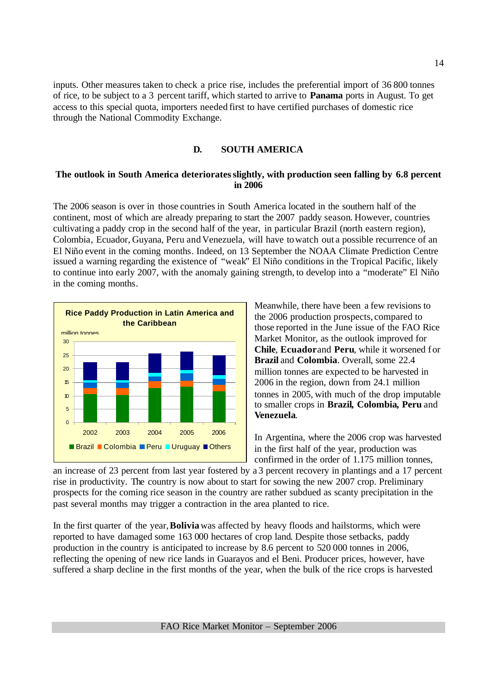inputs. Other measures taken to check a price rise, includes the preferential import of 36 800 tonnes of rice, to be subject to a 3 percent tariff, which started to arrive to **Panama** ports in August. To get access to this special quota, importers needed first to have certified purchases of domestic rice through the National Commodity Exchange.

# **D. SOUTH AMERICA**

# **The outlook in South America deteriorates slightly, with production seen falling by 6.8 percent in 2006**

The 2006 season is over in those countries in South America located in the southern half of the continent, most of which are already preparing to start the 2007 paddy season. However, countries cultivating a paddy crop in the second half of the year, in particular Brazil (north eastern region), Colombia, Ecuador, Guyana, Peru and Venezuela, will have towatch out a possible recurrence of an El Niño event in the coming months. Indeed, on 13 September the NOAA Climate Prediction Centre issued a warning regarding the existence of "weak" El Niño conditions in the Tropical Pacific, likely to continue into early 2007, with the anomaly gaining strength, to develop into a "moderate" El Niño in the coming months.



Meanwhile, there have been a few revisions to the 2006 production prospects, compared to those reported in the June issue of the FAO Rice Market Monitor, as the outlook improved for **Chile**, **Ecuador** and **Peru**, while it worsened for **Brazil** and **Colombia**. Overall, some 22.4 million tonnes are expected to be harvested in 2006 in the region, down from 24.1 million tonnes in 2005, with much of the drop imputable to smaller crops in **Brazil, Colombia, Peru** and **Venezuela**.

In Argentina, where the 2006 crop was harvested in the first half of the year, production was confirmed in the order of 1.175 million tonnes,

an increase of 23 percent from last year fostered by a 3 percent recovery in plantings and a 17 percent rise in productivity. The country is now about to start for sowing the new 2007 crop. Preliminary prospects for the coming rice season in the country are rather subdued as scanty precipitation in the past several months may trigger a contraction in the area planted to rice.

In the first quarter of the year,**Bolivia** was affected by heavy floods and hailstorms, which were reported to have damaged some 163 000 hectares of crop land. Despite those setbacks, paddy production in the country is anticipated to increase by 8.6 percent to 520 000 tonnes in 2006, reflecting the opening of new rice lands in Guarayos and el Beni. Producer prices, however, have suffered a sharp decline in the first months of the year, when the bulk of the rice crops is harvested.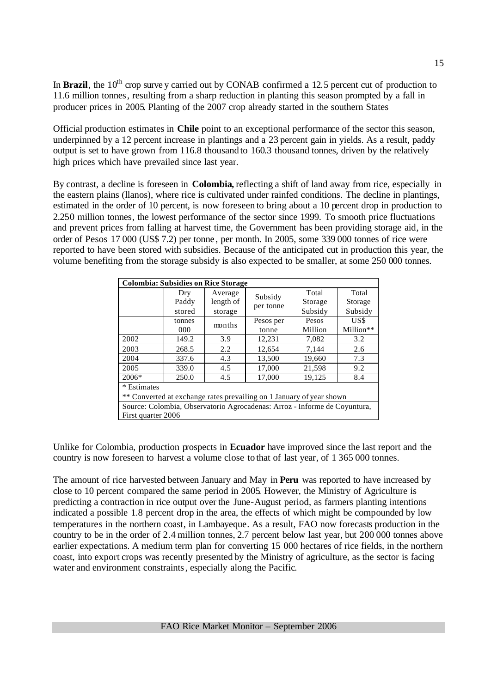In **Brazil**, the 10<sup>th</sup> crop surve y carried out by CONAB confirmed a 12.5 percent cut of production to 11.6 million tonnes, resulting from a sharp reduction in planting this season prompted by a fall in producer prices in 2005. Planting of the 2007 crop already started in the southern States

Official production estimates in **Chile** point to an exceptional performance of the sector this season, underpinned by a 12 percent increase in plantings and a 23 percent gain in yields. As a result, paddy output is set to have grown from 116.8 thousand to 160.3 thousand tonnes, driven by the relatively high prices which have prevailed since last year.

By contrast, a decline is foreseen in **Colombia,** reflecting a shift of land away from rice, especially in the eastern plains (llanos), where rice is cultivated under rainfed conditions. The decline in plantings, estimated in the order of 10 percent, is now foreseen to bring about a 10 percent drop in production to 2.250 million tonnes, the lowest performance of the sector since 1999. To smooth price fluctuations and prevent prices from falling at harvest time, the Government has been providing storage aid, in the order of Pesos 17 000 (US\$ 7.2) per tonne , per month. In 2005, some 339 000 tonnes of rice were reported to have been stored with subsidies. Because of the anticipated cut in production this year, the volume benefiting from the storage subsidy is also expected to be smaller, at some 250 000 tonnes.

| <b>Colombia: Subsidies on Rice Storage</b> |               |                      |                      |                                                                                                                                                                         |                   |  |  |  |  |  |  |  |  |  |
|--------------------------------------------|---------------|----------------------|----------------------|-------------------------------------------------------------------------------------------------------------------------------------------------------------------------|-------------------|--|--|--|--|--|--|--|--|--|
|                                            | Dry<br>Paddy  | Average<br>length of | Subsidy<br>per tonne | Total<br>Storage                                                                                                                                                        | Total<br>Storage  |  |  |  |  |  |  |  |  |  |
|                                            | stored        | storage              |                      | Subsidy                                                                                                                                                                 | Subsidy           |  |  |  |  |  |  |  |  |  |
|                                            | tonnes<br>000 | months               | Pesos per<br>tonne   | Pesos<br>Million                                                                                                                                                        | US\$<br>Million** |  |  |  |  |  |  |  |  |  |
| 2002                                       | 149.2         | 3.9                  | 12,231               | 7,082                                                                                                                                                                   | 3.2               |  |  |  |  |  |  |  |  |  |
| 2003                                       | 268.5         | 2.2                  | 12,654               | 7,144                                                                                                                                                                   | 2.6               |  |  |  |  |  |  |  |  |  |
| 2004                                       | 337.6         | 4.3                  | 13,500               | 19,660                                                                                                                                                                  | 7.3               |  |  |  |  |  |  |  |  |  |
| 2005                                       | 339.0         | 4.5                  | 17,000               | 21,598                                                                                                                                                                  | 9.2               |  |  |  |  |  |  |  |  |  |
| $2006*$                                    | 250.0         | 4.5                  | 17,000               | 19,125                                                                                                                                                                  | 8.4               |  |  |  |  |  |  |  |  |  |
| * Estimates                                |               |                      |                      |                                                                                                                                                                         |                   |  |  |  |  |  |  |  |  |  |
|                                            |               |                      |                      |                                                                                                                                                                         |                   |  |  |  |  |  |  |  |  |  |
|                                            |               |                      |                      | ** Converted at exchange rates prevailing on 1 January of year shown<br>Source: Colombia, Observatorio Agrocadenas: Arroz - Informe de Coyuntura,<br>First quarter 2006 |                   |  |  |  |  |  |  |  |  |  |

Unlike for Colombia, production prospects in **Ecuador** have improved since the last report and the country is now foreseen to harvest a volume close to that of last year, of 1 365 000 tonnes.

The amount of rice harvested between January and May in **Peru** was reported to have increased by close to 10 percent compared the same period in 2005. However, the Ministry of Agriculture is predicting a contraction in rice output over the June-August period, as farmers planting intentions indicated a possible 1.8 percent drop in the area, the effects of which might be compounded by low temperatures in the northern coast, in Lambayeque. As a result, FAO now forecasts production in the country to be in the order of 2.4 million tonnes, 2.7 percent below last year, but 200 000 tonnes above earlier expectations. A medium term plan for converting 15 000 hectares of rice fields, in the northern coast, into export crops was recently presented by the Ministry of agriculture, as the sector is facing water and environment constraints, especially along the Pacific.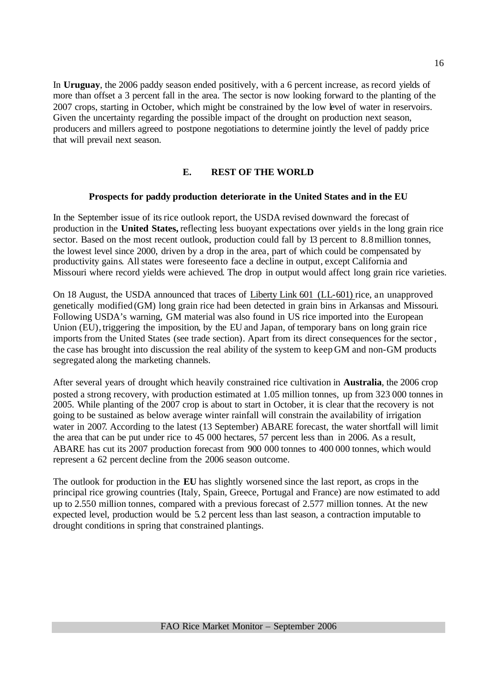In **Uruguay**, the 2006 paddy season ended positively, with a 6 percent increase, as record yields of more than offset a 3 percent fall in the area. The sector is now looking forward to the planting of the 2007 crops, starting in October, which might be constrained by the low level of water in reservoirs. Given the uncertainty regarding the possible impact of the drought on production next season, producers and millers agreed to postpone negotiations to determine jointly the level of paddy price that will prevail next season.

# **E. REST OF THE WORLD**

# **Prospects for paddy production deteriorate in the United States and in the EU**

In the September issue of itsrice outlook report, the USDA revised downward the forecast of production in the **United States,** reflecting less buoyant expectations over yields in the long grain rice sector. Based on the most recent outlook, production could fall by 13 percent to 8.8 million tonnes, the lowest level since 2000, driven by a drop in the area, part of which could be compensated by productivity gains. All states were foreseento face a decline in output, except California and Missouri where record yields were achieved. The drop in output would affect long grain rice varieties.

On 18 August, the USDA announced that traces of Liberty Link 601 (LL-601) rice, an unapproved genetically modified (GM) long grain rice had been detected in grain bins in Arkansas and Missouri. Following USDA's warning, GM material was also found in US rice imported into the European Union (EU), triggering the imposition, by the EU and Japan, of temporary bans on long grain rice imports from the United States (see trade section). Apart from its direct consequences for the sector , the case has brought into discussion the real ability of the system to keep GM and non-GM products segregated along the marketing channels.

After several years of drought which heavily constrained rice cultivation in **Australia**, the 2006 crop posted a strong recovery, with production estimated at 1.05 million tonnes, up from 323 000 tonnes in 2005. While planting of the 2007 crop is about to start in October, it is clear that the recovery is not going to be sustained as below average winter rainfall will constrain the availability of irrigation water in 2007. According to the latest (13 September) ABARE forecast, the water shortfall will limit the area that can be put under rice to 45 000 hectares, 57 percent less than in 2006. As a result, ABARE has cut its 2007 production forecast from 900 000 tonnes to 400 000 tonnes, which would represent a 62 percent decline from the 2006 season outcome.

The outlook for production in the **EU** has slightly worsened since the last report, as crops in the principal rice growing countries (Italy, Spain, Greece, Portugal and France) are now estimated to add up to 2.550 million tonnes, compared with a previous forecast of 2.577 million tonnes. At the new expected level, production would be 5.2 percent less than last season, a contraction imputable to drought conditions in spring that constrained plantings.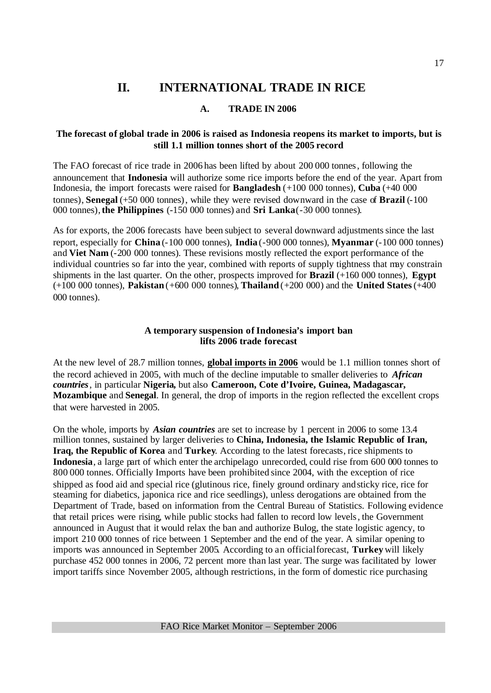# **II. INTERNATIONAL TRADE IN RICE**

# **A. TRADE IN 2006**

# **The forecast of global trade in 2006 is raised as Indonesia reopens its market to imports, but is still 1.1 million tonnes short of the 2005 record**

The FAO forecast of rice trade in 2006 has been lifted by about 200 000 tonnes, following the announcement that **Indonesia** will authorize some rice imports before the end of the year. Apart from Indonesia, the import forecasts were raised for **Bangladesh** (+100 000 tonnes), **Cuba** (+40 000 tonnes), **Senegal** (+50 000 tonnes), while they were revised downward in the case of **Brazil** (-100 000 tonnes),**the Philippines** (-150 000 tonnes) and **Sri Lanka**(-30 000 tonnes).

As for exports, the 2006 forecasts have been subject to several downward adjustments since the last report, especially for **China** (-100 000 tonnes), **India** (-900 000 tonnes), **Myanmar** (-100 000 tonnes) and **Viet Nam** (-200 000 tonnes). These revisions mostly reflected the export performance of the individual countries so far into the year, combined with reports of supply tightness that may constrain shipments in the last quarter. On the other, prospects improved for **Brazil** (+160 000 tonnes), **Egypt** (+100 000 tonnes), **Pakistan** (+600 000 tonnes), **Thailand** (+200 000) and the **United States** (+400 000 tonnes).

# **A temporary suspension of Indonesia's import ban lifts 2006 trade forecast**

At the new level of 28.7 million tonnes, **global imports in 2006** would be 1.1 million tonnes short of the record achieved in 2005, with much of the decline imputable to smaller deliveries to *African countries*, in particular **Nigeria,** but also **Cameroon, Cote d'Ivoire, Guinea, Madagascar, Mozambique** and **Senegal**. In general, the drop of imports in the region reflected the excellent crops that were harvested in 2005.

On the whole, imports by *Asian countries* are set to increase by 1 percent in 2006 to some 13.4 million tonnes, sustained by larger deliveries to **China, Indonesia, the Islamic Republic of Iran, Iraq, the Republic of Korea** and **Turkey**. According to the latest forecasts, rice shipments to **Indonesia**, a large part of which enter the archipelago unrecorded, could rise from 600 000 tonnes to 800 000 tonnes. Officially Imports have been prohibited since 2004, with the exception of rice shipped as food aid and special rice (glutinous rice, finely ground ordinary and sticky rice, rice for steaming for diabetics, japonica rice and rice seedlings), unless derogations are obtained from the Department of Trade, based on information from the Central Bureau of Statistics. Following evidence that retail prices were rising, while public stocks had fallen to record low levels, the Government announced in August that it would relax the ban and authorize Bulog, the state logistic agency, to import 210 000 tonnes of rice between 1 September and the end of the year. A similar opening to imports was announced in September 2005. According to an official forecast, **Turkey** will likely purchase 452 000 tonnes in 2006, 72 percent more than last year. The surge was facilitated by lower import tariffs since November 2005, although restrictions, in the form of domestic rice purchasing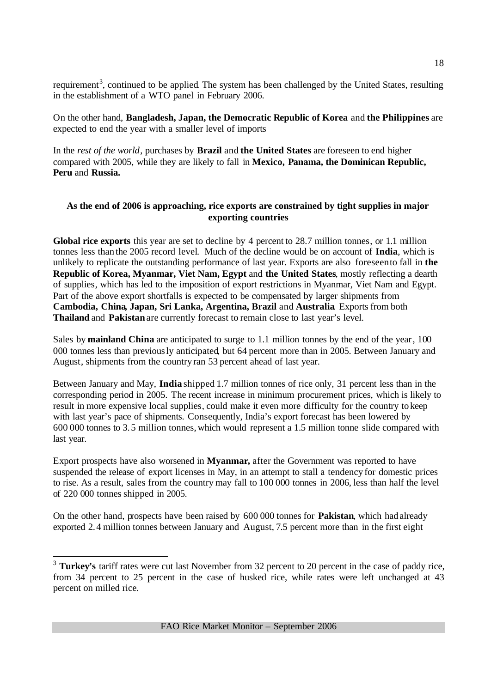requirement<sup>3</sup>, continued to be applied. The system has been challenged by the United States, resulting in the establishment of a WTO panel in February 2006.

On the other hand, **Bangladesh, Japan, the Democratic Republic of Korea** and **the Philippines** are expected to end the year with a smaller level of imports

In the *rest of the world*, purchases by **Brazil** and **the United States** are foreseen to end higher compared with 2005, while they are likely to fall in **Mexico, Panama, the Dominican Republic, Peru** and **Russia.**

# **As the end of 2006 is approaching, rice exports are constrained by tight supplies in major exporting countries**

**Global rice exports** this year are set to decline by 4 percent to 28.7 million tonnes, or 1.1 million tonnes less than the 2005 record level. Much of the decline would be on account of **India**, which is unlikely to replicate the outstanding performance of last year. Exports are also foreseen to fall in **the Republic of Korea, Myanmar, Viet Nam, Egypt** and **the United States**, mostly reflecting a dearth of supplies, which has led to the imposition of export restrictions in Myanmar, Viet Nam and Egypt. Part of the above export shortfalls is expected to be compensated by larger shipments from **Cambodia, China, Japan, Sri Lanka, Argentina, Brazil** and **Australia**. Exports from both **Thailand** and **Pakistan** are currently forecast to remain close to last year's level.

Sales by **mainland China** are anticipated to surge to 1.1 million tonnes by the end of the year, 100 000 tonnes less than previously anticipated, but 64 percent more than in 2005. Between January and August, shipments from the country ran 53 percent ahead of last year.

Between January and May, **India** shipped 1.7 million tonnes of rice only, 31 percent less than in the corresponding period in 2005. The recent increase in minimum procurement prices, which is likely to result in more expensive local supplies, could make it even more difficulty for the country to keep with last year's pace of shipments. Consequently, India's export forecast has been lowered by 600 000 tonnes to 3.5 million tonnes, which would represent a 1.5 million tonne slide compared with last year.

Export prospects have also worsened in **Myanmar,** after the Government was reported to have suspended the release of export licenses in May, in an attempt to stall a tendency for domestic prices to rise. As a result, sales from the country may fall to 100 000 tonnes in 2006, less than half the level of 220 000 tonnes shipped in 2005.

On the other hand, prospects have been raised by 600 000 tonnes for **Pakistan**, which had already exported 2.4 million tonnes between January and August, 7.5 percent more than in the first eight

<sup>3</sup> **Turkey's** tariff rates were cut last November from 32 percent to 20 percent in the case of paddy rice, from 34 percent to 25 percent in the case of husked rice, while rates were left unchanged at 43 percent on milled rice.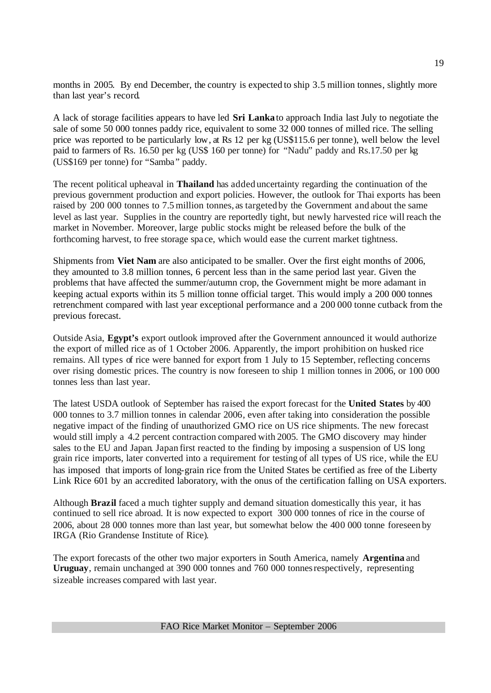months in 2005. By end December, the country is expected to ship 3.5 million tonnes, slightly more than last year's record.

A lack of storage facilities appears to have led **Sri Lanka** to approach India last July to negotiate the sale of some 50 000 tonnes paddy rice, equivalent to some 32 000 tonnes of milled rice. The selling price was reported to be particularly low, at Rs 12 per kg (US\$115.6 per tonne), well below the level paid to farmers of Rs. 16.50 per kg (US\$ 160 per tonne) for "Nadu" paddy and Rs.17.50 per kg (US\$169 per tonne) for "Samba" paddy.

The recent political upheaval in **Thailand** has added uncertainty regarding the continuation of the previous government production and export policies. However, the outlook for Thai exports has been raised by 200 000 tonnes to 7.5 million tonnes, as targeted by the Government and about the same level as last year. Supplies in the country are reportedly tight, but newly harvested rice will reach the market in November. Moreover, large public stocks might be released before the bulk of the forthcoming harvest, to free storage spa ce, which would ease the current market tightness.

Shipments from **Viet Nam** are also anticipated to be smaller. Over the first eight months of 2006, they amounted to 3.8 million tonnes, 6 percent less than in the same period last year. Given the problems that have affected the summer/autumn crop, the Government might be more adamant in keeping actual exports within its 5 million tonne official target. This would imply a 200 000 tonnes retrenchment compared with last year exceptional performance and a 200 000 tonne cutback from the previous forecast.

Outside Asia, **Egypt's** export outlook improved after the Government announced it would authorize the export of milled rice as of 1 October 2006. Apparently, the import prohibition on husked rice remains. All types of rice were banned for export from 1 July to 15 September, reflecting concerns over rising domestic prices. The country is now foreseen to ship 1 million tonnes in 2006, or 100 000 tonnes less than last year.

The latest USDA outlook of September has raised the export forecast for the **United States** by 400 000 tonnes to 3.7 million tonnes in calendar 2006, even after taking into consideration the possible negative impact of the finding of unauthorized GMO rice on US rice shipments. The new forecast would still imply a 4.2 percent contraction compared with 2005. The GMO discovery may hinder sales to the EU and Japan. Japan first reacted to the finding by imposing a suspension of US long grain rice imports, later converted into a requirement for testing of all types of US rice, while the EU has imposed that imports of long-grain rice from the United States be certified as free of the Liberty Link Rice 601 by an accredited laboratory, with the onus of the certification falling on USA exporters.

Although **Brazil** faced a much tighter supply and demand situation domestically this year, it has continued to sell rice abroad. It is now expected to export 300 000 tonnes of rice in the course of 2006, about 28 000 tonnes more than last year, but somewhat below the 400 000 tonne foreseen by IRGA (Rio Grandense Institute of Rice).

The export forecasts of the other two major exporters in South America, namely **Argentina** and **Uruguay**, remain unchanged at 390 000 tonnes and 760 000 tonnesrespectively, representing sizeable increases compared with last year.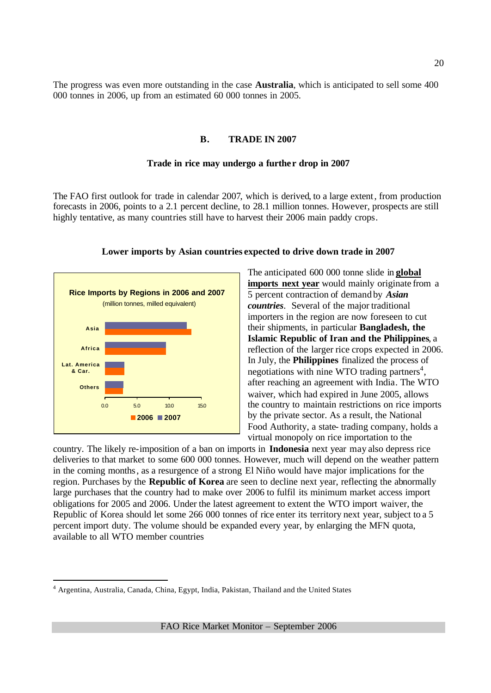The progress was even more outstanding in the case **Australia**, which is anticipated to sell some 400 000 tonnes in 2006, up from an estimated 60 000 tonnes in 2005.

# **B. TRADE IN 2007**

#### **Trade in rice may undergo a further drop in 2007**

The FAO first outlook for trade in calendar 2007, which is derived, to a large extent, from production forecasts in 2006, points to a 2.1 percent decline, to 28.1 million tonnes. However, prospects are still highly tentative, as many countries still have to harvest their 2006 main paddy crops.



#### **Lower imports by Asian countries expected to drive down trade in 2007**

The anticipated 600 000 tonne slide in **global imports next year** would mainly originate from a 5 percent contraction of demand by *Asian countries*. Several of the major traditional importers in the region are now foreseen to cut their shipments, in particular **Bangladesh, the Islamic Republic of Iran and the Philippines**, a reflection of the larger rice crops expected in 2006. In July, the **Philippines** finalized the process of negotiations with nine WTO trading partners<sup>4</sup>, after reaching an agreement with India. The WTO waiver, which had expired in June 2005, allows the country to maintain restrictions on rice imports by the private sector. As a result, the National Food Authority, a state- trading company, holds a virtual monopoly on rice importation to the

country. The likely re-imposition of a ban on imports in **Indonesia** next year may also depress rice deliveries to that market to some 600 000 tonnes. However, much will depend on the weather pattern in the coming months, as a resurgence of a strong El Niño would have major implications for the region. Purchases by the **Republic of Korea** are seen to decline next year, reflecting the abnormally large purchases that the country had to make over 2006 to fulfil its minimum market access import obligations for 2005 and 2006. Under the latest agreement to extent the WTO import waiver, the Republic of Korea should let some 266 000 tonnes of rice enter its territory next year, subject to a 5 percent import duty. The volume should be expanded every year, by enlarging the MFN quota, available to all WTO member countries

<sup>&</sup>lt;sup>4</sup> Argentina, Australia, Canada, China, Egypt, India, Pakistan, Thailand and the United States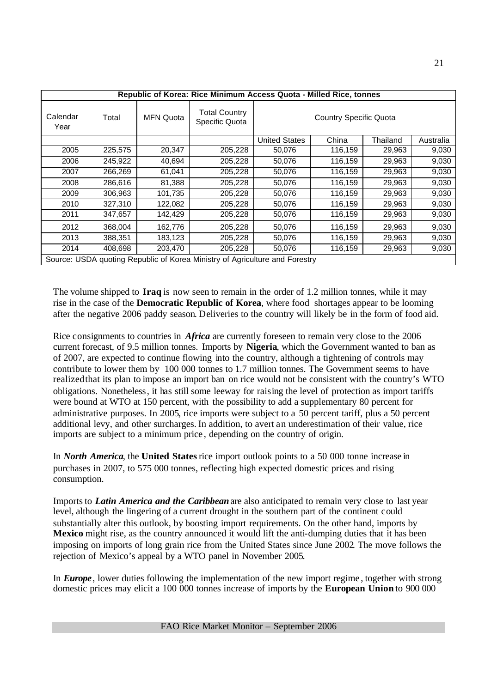|                  |         |                  | Republic of Korea: Rice Minimum Access Quota - Milled Rice, tonnes          |                               |         |          |           |  |  |
|------------------|---------|------------------|-----------------------------------------------------------------------------|-------------------------------|---------|----------|-----------|--|--|
| Calendar<br>Year | Total   | <b>MFN Quota</b> | <b>Total Country</b><br>Specific Quota                                      | <b>Country Specific Quota</b> |         |          |           |  |  |
|                  |         |                  |                                                                             | <b>United States</b>          | China   | Thailand | Australia |  |  |
| 2005             | 225,575 | 20,347           | 205,228                                                                     | 50,076                        | 116,159 | 29,963   | 9,030     |  |  |
| 2006             | 245,922 | 40,694           | 205,228                                                                     | 50,076                        | 116,159 | 29,963   | 9,030     |  |  |
| 2007             | 266,269 | 61,041           | 205,228                                                                     | 50,076                        | 116,159 | 29,963   | 9,030     |  |  |
| 2008             | 286,616 | 81,388           | 205,228                                                                     | 50,076                        | 116,159 | 29,963   | 9,030     |  |  |
| 2009             | 306,963 | 101,735          | 205,228                                                                     | 50,076                        | 116,159 | 29,963   | 9,030     |  |  |
| 2010             | 327,310 | 122,082          | 205,228                                                                     | 50,076                        | 116,159 | 29,963   | 9,030     |  |  |
| 2011             | 347,657 | 142,429          | 205,228                                                                     | 50,076                        | 116,159 | 29,963   | 9,030     |  |  |
| 2012             | 368,004 | 162,776          | 205,228                                                                     | 50,076                        | 116,159 | 29,963   | 9,030     |  |  |
| 2013             | 388,351 | 183,123          | 205,228                                                                     | 50,076                        | 116,159 | 29,963   | 9,030     |  |  |
| 2014             | 408,698 | 203,470          | 205,228                                                                     | 50,076                        | 116,159 | 29,963   | 9,030     |  |  |
|                  |         |                  | Source: USDA quoting Republic of Korea Ministry of Agriculture and Forestry |                               |         |          |           |  |  |

The volume shipped to **Iraq** is now seen to remain in the order of 1.2 million tonnes, while it may rise in the case of the **Democratic Republic of Korea**, where food shortages appear to be looming after the negative 2006 paddy season. Deliveries to the country will likely be in the form of food aid.

Rice consignments to countries in *Africa* are currently foreseen to remain very close to the 2006 current forecast, of 9.5 million tonnes. Imports by **Nigeria**, which the Government wanted to ban as of 2007, are expected to continue flowing into the country, although a tightening of controls may contribute to lower them by 100 000 tonnes to 1.7 million tonnes. The Government seems to have realized that its plan to impose an import ban on rice would not be consistent with the country's WTO obligations. Nonetheless, it has still some leeway for raising the level of protection as import tariffs were bound at WTO at 150 percent, with the possibility to add a supplementary 80 percent for administrative purposes. In 2005, rice imports were subject to a 50 percent tariff, plus a 50 percent additional levy, and other surcharges. In addition, to avert an underestimation of their value, rice imports are subject to a minimum price , depending on the country of origin.

In *North America*, the **United States** rice import outlook points to a 50 000 tonne increase in purchases in 2007, to 575 000 tonnes, reflecting high expected domestic prices and rising consumption.

Imports to *Latin America and the Caribbean* are also anticipated to remain very close to last year level, although the lingering of a current drought in the southern part of the continent could substantially alter this outlook, by boosting import requirements. On the other hand, imports by **Mexico** might rise, as the country announced it would lift the anti-dumping duties that it has been imposing on imports of long grain rice from the United States since June 2002. The move follows the rejection of Mexico's appeal by a WTO panel in November 2005.

In *Europe*, lower duties following the implementation of the new import regime , together with strong domestic prices may elicit a 100 000 tonnes increase of imports by the **European Union** to 900 000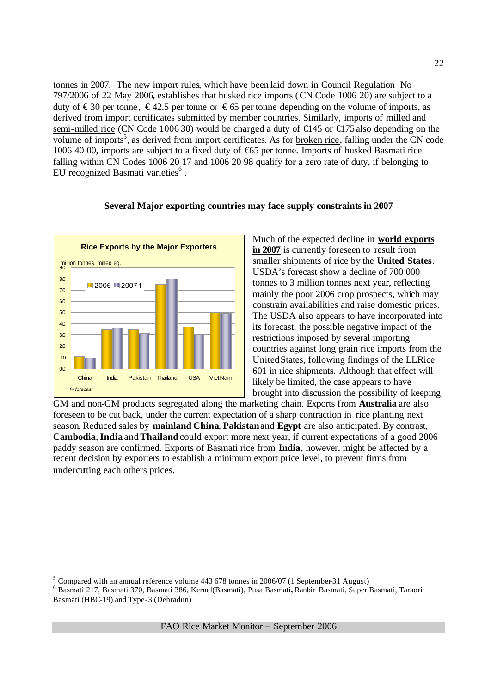tonnes in 2007. The new import rules, which have been laid down in Council Regulation No 797/2006 of 22 May 2006**,** establishes that husked rice imports (CN Code 1006 20) are subject to a duty of €30 per tonne, €42.5 per tonne or €65 per tonne depending on the volume of imports, as derived from import certificates submitted by member countries. Similarly, imports of milled and semi-milled rice (CN Code 1006 30) would be charged a duty of  $\bigoplus$  45 or  $\bigoplus$  75 also depending on the volume of imports<sup>5</sup>, as derived from import certificates. As for broken rice, falling under the CN code 1006 40 00, imports are subject to a fixed duty of €65 per tonne. Imports of husked Basmati rice falling within CN Codes 1006 20 17 and 1006 20 98 qualify for a zero rate of duty, if belonging to EU recognized Basmati varieties<sup>6</sup>.



### **Several Major exporting countries may face supply constraints in 2007**

Much of the expected decline in **world exports in 2007** is currently foreseen to result from smaller shipments of rice by the **United States**. USDA's forecast show a decline of 700 000 tonnes to 3 million tonnes next year, reflecting mainly the poor 2006 crop prospects, which may constrain availabilities and raise domestic prices. The USDA also appears to have incorporated into its forecast, the possible negative impact of the restrictions imposed by several importing countries against long grain rice imports from the United States, following findings of the LLRice 601 in rice shipments. Although that effect will likely be limited, the case appears to have brought into discussion the possibility of keeping

GM and non-GM products segregated along the marketing chain. Exports from **Australia** are also foreseen to be cut back, under the current expectation of a sharp contraction in rice planting next season. Reduced sales by **mainland China**, **Pakistan** and **Egypt** are also anticipated. By contrast, **Cambodia**, **India** and**Thailand** could export more next year, if current expectations of a good 2006 paddy season are confirmed. Exports of Basmati rice from **India**, however, might be affected by a recent decision by exporters to establish a minimum export price level, to prevent firms from undercutting each others prices.

<sup>5</sup> Compared with an annual reference volume 443 678 tonnes in 2006/07 (1 September-31 August)

<sup>6</sup> Basmati 217, Basmati 370, Basmati 386, Kernel(Basmati), Pusa Basmati**,** Ranbir Basmati, Super Basmati, Taraori Basmati (HBC-19) and Type-3 (Dehradun)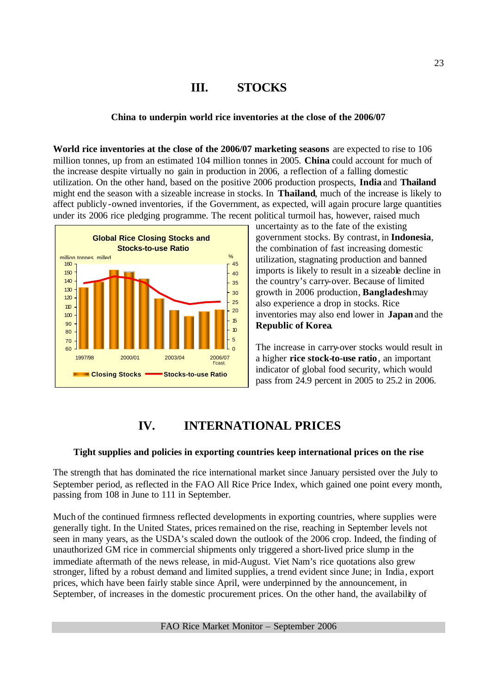# **III. STOCKS**

# **China to underpin world rice inventories at the close of the 2006/07**

**World rice inventories at the close of the 2006/07 marketing seasons** are expected to rise to 106 million tonnes, up from an estimated 104 million tonnes in 2005. **China** could account for much of the increase despite virtually no gain in production in 2006, a reflection of a falling domestic utilization. On the other hand, based on the positive 2006 production prospects, **India** and **Thailand** might end the season with a sizeable increase in stocks. In **Thailand**, much of the increase is likely to affect publicly-owned inventories, if the Government, as expected, will again procure large quantities under its 2006 rice pledging programme. The recent political turmoil has, however, raised much



uncertainty as to the fate of the existing government stocks. By contrast, in **Indonesia**, the combination of fast increasing domestic utilization, stagnating production and banned imports is likely to result in a sizeable decline in the country's carry-over. Because of limited growth in 2006 production, **Bangladesh** may also experience a drop in stocks. Rice inventories may also end lower in **Japan** and the **Republic of Korea**.

The increase in carry-over stocks would result in a higher **rice stock-to-use ratio**, an important indicator of global food security, which would pass from 24.9 percent in 2005 to 25.2 in 2006.

# **IV. INTERNATIONAL PRICES**

### **Tight supplies and policies in exporting countries keep international prices on the rise**

The strength that has dominated the rice international market since January persisted over the July to September period, as reflected in the FAO All Rice Price Index, which gained one point every month, passing from 108 in June to 111 in September.

Much of the continued firmness reflected developments in exporting countries, where supplies were generally tight. In the United States, prices remained on the rise, reaching in September levels not seen in many years, as the USDA's scaled down the outlook of the 2006 crop. Indeed, the finding of unauthorized GM rice in commercial shipments only triggered a short-lived price slump in the immediate aftermath of the news release, in mid-August. Viet Nam's rice quotations also grew stronger, lifted by a robust demand and limited supplies, a trend evident since June; in India, export prices, which have been fairly stable since April, were underpinned by the announcement, in September, of increases in the domestic procurement prices. On the other hand, the availability of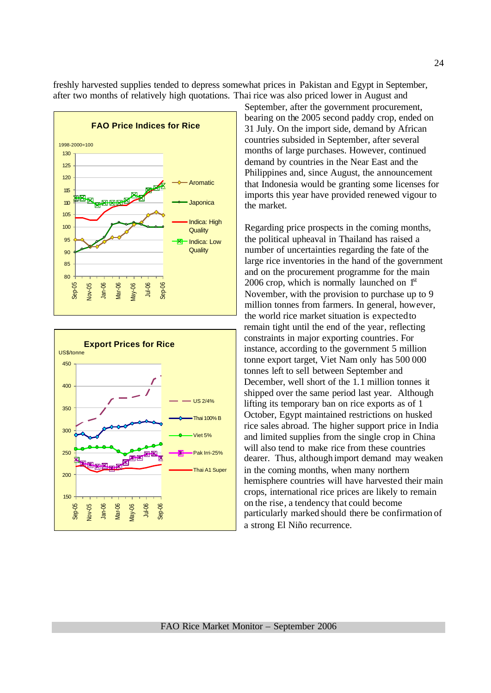



September, after the government procurement, bearing on the 2005 second paddy crop, ended on 31 July. On the import side, demand by African countries subsided in September, after several months of large purchases. However, continued demand by countries in the Near East and the Philippines and, since August, the announcement that Indonesia would be granting some licenses for imports this year have provided renewed vigour to the market.

freshly harvested supplies tended to depress somewhat prices in Pakistan and Egypt in September, after two months of relatively high quotations. Thai rice was also priced lower in August and

> Regarding price prospects in the coming months, the political upheaval in Thailand has raised a number of uncertainties regarding the fate of the large rice inventories in the hand of the government and on the procurement programme for the main 2006 crop, which is normally launched on  $1<sup>st</sup>$ November, with the provision to purchase up to 9 million tonnes from farmers. In general, however, the world rice market situation is expected to remain tight until the end of the year, reflecting constraints in major exporting countries. For instance, according to the government 5 million tonne export target, Viet Nam only has 500 000 tonnes left to sell between September and December, well short of the 1.1 million tonnes it shipped over the same period last year. Although lifting its temporary ban on rice exports as of 1 October, Egypt maintained restrictions on husked rice sales abroad. The higher support price in India and limited supplies from the single crop in China will also tend to make rice from these countries dearer. Thus, although import demand may weaken in the coming months, when many northern hemisphere countries will have harvested their main crops, international rice prices are likely to remain on the rise, a tendency that could become particularly marked should there be confirmation of a strong El Niño recurrence.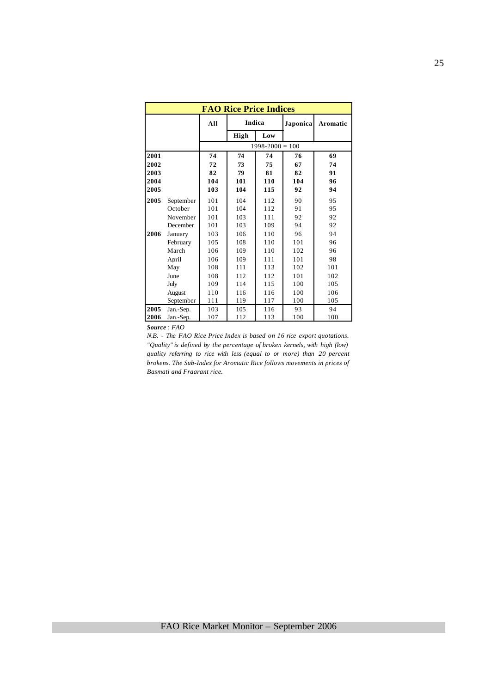|      |           |     | <b>FAO Rice Price Indices</b> |                     |          |          |
|------|-----------|-----|-------------------------------|---------------------|----------|----------|
|      |           | All | Indica                        |                     | Japonica | Aromatic |
|      |           |     | High                          | Low                 |          |          |
|      |           |     |                               | $1998 - 2000 = 100$ |          |          |
| 2001 |           | 74  | 74                            | 74                  | 76       | 69       |
| 2002 |           | 72  | 73                            | 75                  | 67       | 74       |
| 2003 |           | 82  | 79                            | 81                  | 82       | 91       |
| 2004 |           | 104 | 101                           | 110                 | 104      | 96       |
| 2005 |           | 103 | 104                           | 115                 | 92       | 94       |
| 2005 | September | 101 | 104                           | 112                 | 90       | 95       |
|      | October   | 101 | 104                           | 112                 | 91       | 95       |
|      | November  | 101 | 103                           | 111                 | 92       | 92       |
|      | December  | 101 | 103                           | 109                 | 94       | 92       |
| 2006 | January   | 103 | 106                           | 110                 | 96       | 94       |
|      | February  | 105 | 108                           | 110                 | 101      | 96       |
|      | March     | 106 | 109                           | 110                 | 102      | 96       |
|      | April     | 106 | 109                           | 111                 | 101      | 98       |
|      | May       | 108 | 111                           | 113                 | 102      | 101      |
|      | June      | 108 | 112                           | 112                 | 101      | 102      |
|      | July      | 109 | 114                           | 115                 | 100      | 105      |
|      | August    | 110 | 116                           | 116                 | 100      | 106      |
|      | September | 111 | 119                           | 117                 | 100      | 105      |
| 2005 | Jan.-Sep. | 103 | 105                           | 116                 | 93       | 94       |
| 2006 | Jan.-Sep. | 107 | 112                           | 113                 | 100      | 100      |

*Source : FAO* 

*N.B. - The FAO Rice Price Index is based on 16 rice export quotations. "Quality" is defined by the percentage of broken kernels, with high (low) quality referring to rice with less (equal to or more) than 20 percent brokens. The Sub-Index for Aromatic Rice follows movements in prices of Basmati and Fragrant rice.*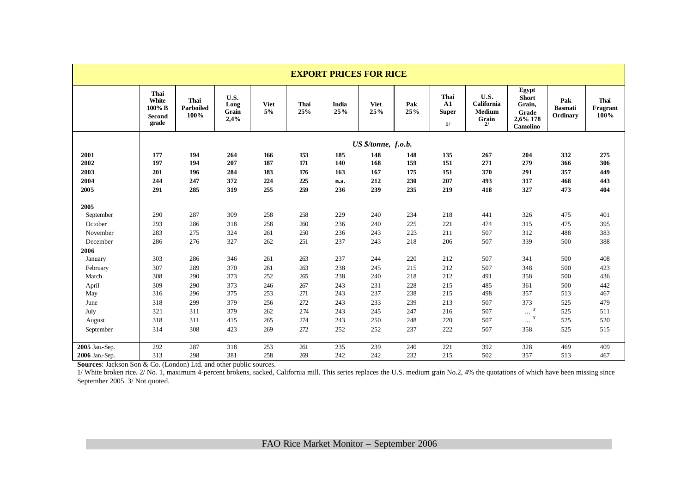|                      | <b>EXPORT PRICES FOR RICE</b>                     |                           |                               |                   |                   |                     |                     |                   |                                          |                                              |                                                                         |                                   |                          |
|----------------------|---------------------------------------------------|---------------------------|-------------------------------|-------------------|-------------------|---------------------|---------------------|-------------------|------------------------------------------|----------------------------------------------|-------------------------------------------------------------------------|-----------------------------------|--------------------------|
|                      | Thai<br>White<br>100% B<br><b>Second</b><br>grade | Thai<br>Parboiled<br>100% | U.S.<br>Long<br>Grain<br>2,4% | <b>Viet</b><br>5% | Thai<br>25%       | <b>India</b><br>25% | <b>Viet</b><br>25%  | Pak<br>25%        | Thai<br>${\bf A1}$<br><b>Super</b><br>1/ | U.S.<br>California<br><b>Medium</b><br>Grain | Egypt<br><b>Short</b><br>Grain,<br>Grade<br>2,6% 178<br><b>Camolino</b> | Pak<br><b>Basmati</b><br>Ordinary | Thai<br>Fragrant<br>100% |
|                      |                                                   |                           |                               |                   |                   |                     | US \$/tonne, f.o.b. |                   |                                          |                                              |                                                                         |                                   |                          |
| 2001<br>2002<br>2003 | 177<br>197<br>201                                 | 194<br>194<br>196         | 264<br>207<br>284             | 166<br>187<br>183 | 153<br>171<br>176 | 185<br>140<br>163   | 148<br>168<br>167   | 148<br>159<br>175 | 135<br>151<br>151                        | 267<br>271<br>370                            | 204<br>279<br>291                                                       | 332<br>366<br>357                 | 275<br>306<br>449        |
| 2004<br>2005         | 244<br>291                                        | 247<br>285                | 372<br>319                    | 224<br>255        | 225<br>259        | n.a.<br>236         | 212<br>239          | 230<br>235        | 207<br>219                               | 493<br>418                                   | 317<br>327                                                              | 468<br>473                        | 443<br>404               |
| 2005                 |                                                   |                           |                               |                   |                   |                     |                     |                   |                                          |                                              |                                                                         |                                   |                          |
| September            | 290                                               | 287                       | 309                           | 258               | 258               | 229                 | 240                 | 234               | 218                                      | 441                                          | 326                                                                     | 475                               | 401                      |
| October              | 293                                               | 286                       | 318                           | 258               | 260               | 236                 | 240                 | 225               | 221                                      | 474                                          | 315                                                                     | 475                               | 395                      |
| November             | 283                                               | 275                       | 324                           | 261               | 250               | 236                 | 243                 | 223               | 211                                      | 507                                          | 312                                                                     | 488                               | 383                      |
| December             | 286                                               | 276                       | 327                           | 262               | 251               | 237                 | 243                 | 218               | 206                                      | 507                                          | 339                                                                     | 500                               | 388                      |
| 2006                 |                                                   |                           |                               |                   |                   |                     |                     |                   |                                          |                                              |                                                                         |                                   |                          |
| January              | 303                                               | 286                       | 346                           | 261               | 263               | 237                 | 244                 | 220               | 212                                      | 507                                          | 341                                                                     | 500                               | 408                      |
| February<br>March    | 307<br>308                                        | 289<br>290                | 370<br>373                    | 261<br>252        | 263<br>265        | 238<br>238          | 245<br>240          | 215<br>218        | 212<br>212                               | 507<br>491                                   | 348<br>358                                                              | 500<br>500                        | 423<br>436               |
| April                | 309                                               | 290                       | 373                           | 246               | 267               | 243                 | 231                 | 228               | 215                                      | 485                                          | 361                                                                     | 500                               | 442                      |
| May                  | 316                                               | 296                       | 375                           | 253               | 271               | 243                 | 237                 | 238               | 215                                      | 498                                          | 357                                                                     | 513                               | 467                      |
| June                 | 318                                               | 299                       | 379                           | 256               | 272               | 243                 | 233                 | 239               | 213                                      | 507                                          | 373                                                                     | 525                               | 479                      |
| July                 | 321                                               | 311                       | 379                           | 262               | 274               | 243                 | 245                 | 247               | 216                                      | 507                                          | $\cdots$ 3                                                              | 525                               | 511                      |
| August               | 318                                               | 311                       | 415                           | 265               | 274               | 243                 | 250                 | 248               | 220                                      | 507                                          | 3/<br>$\ldots$                                                          | 525                               | 520                      |
| September            | 314                                               | 308                       | 423                           | 269               | 272               | 252                 | 252                 | 237               | 222                                      | 507                                          | 358                                                                     | 525                               | 515                      |
| 2005 Jan.-Sep.       | 292                                               | 287                       | 318                           | 253               | 261               | 235                 | 239                 | 240               | 221                                      | 392                                          | 328                                                                     | 469                               | 409                      |
| 2006 Jan.-Sep.       | 313                                               | 298                       | 381                           | 258               | 269               | 242                 | 242                 | 232               | 215                                      | 502                                          | 357                                                                     | 513                               | 467                      |

**Sources**: Jackson Son & Co. (London) Ltd. and other public sources.

1/ White broken rice. 2/ No. 1, maximum 4-percent brokens, sacked, California mill. This series replaces the U.S. medium grain No.2, 4% the quotations of which have been missing since September 2005. 3/ Not quoted.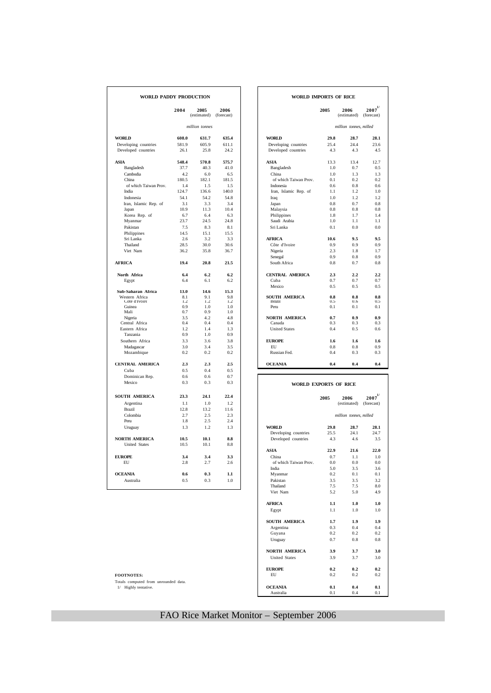| WORLD PADDY PRODUCTION          |             |                     |                    | <b>WORLD IMPORTS OF RICE</b> |            |                        |                            |
|---------------------------------|-------------|---------------------|--------------------|------------------------------|------------|------------------------|----------------------------|
|                                 | 2004        | 2005<br>(estimated) | 2006<br>(forecast) |                              | 2005       | 2006<br>(estimated)    | $2007^{1/2}$<br>(forecast) |
|                                 |             | million tonnes      |                    |                              |            | million tonnes, milled |                            |
| <b>WORLD</b>                    | 608.0       | 631.7               | 635.4              | <b>WORLD</b>                 | 29.8       | 28.7                   | 28.1                       |
| Developing countries            | 581.9       | 605.9               | 611.1              | Developing countries         | 25.4       | 24.4                   | 23.6                       |
| Developed countries             | 26.1        | 25.8                | 24.2               | Developed countries          | 4.3        | 4.3                    | 4.5                        |
| <b>ASIA</b>                     | 548.4       | 570.8               | 575.7              | <b>ASIA</b>                  | 13.3       | 13.4                   | 12.7                       |
| Bangladesh                      | 37.7        | 40.3                | 41.0               | Bangladesh                   | 1.0        | 0.7                    | 0.5                        |
| Cambodia                        | 4.2         | 6.0                 | 6.5                | China                        | 1.0        | 1.3                    | 1.3                        |
| China                           | 180.5       | 182.1               | 181.5              | of which Taiwan Prov.        | 0.1        | 0.2                    | 0.2                        |
| of which Taiwan Prov.           | 1.4         | 1.5                 | 1.5                | Indonesia                    | 0.6        | 0.8                    | 0.6                        |
| India                           | 124.7       | 136.6               | 140.0              | Iran, Islamic Rep. of        | 1.1        | 1.2                    | 1.0                        |
| Indonesia                       | 54.1        | 54.2                | 54.8               | Iraq                         | 1.0        | 1.2                    | 1.2                        |
| Iran, Islamic Rep. of           | 31          | 3.3                 | 3.4                | Japan                        | 0.8        | 0.7<br>0.8             | 0.8                        |
| Japan                           | 10.9<br>6.7 | 11.3<br>6.4         | 10.4<br>6.3        | Malaysia                     | 0.8<br>1.8 | 1.7                    | 0.8<br>1.4                 |
| Korea Rep. of<br>Myanmar        | 23.7        | 24.5                | 24.8               | Philippines<br>Saudi Arabia  | 1.0        | 1.1                    | 1.1                        |
| Pakistan                        | 7.5         | 8.3                 | 8.1                | Sri Lanka                    | 0.1        | 0.0                    | 0.0                        |
| Philippines                     | 14.5        | 15.1                | 15.5               |                              |            |                        |                            |
| Sri Lanka                       | 2.6         | 3.2                 | 3.3                | <b>AFRICA</b>                | 10.6       | 9.5                    | 9.5                        |
| Thailand                        | 28.5        | 30.0                | 30.6               | Côte d'Ivoire                | 0.9        | 0.9                    | 0.9                        |
| Viet Nam                        | 36.2        | 35.8                | 36.7               | Nigeria                      | 2.3        | 1.8                    | 1.7                        |
|                                 |             |                     |                    | Senegal                      | 0.9        | 0.8                    | 0.9                        |
| <b>AFRICA</b>                   | 19.4        | 20.8                | 21.5               | South Africa                 | 0.8        | 0.7                    | 0.8                        |
| North Africa                    | 6.4         | 6.2                 | 6.2                | <b>CENTRAL AMERICA</b>       | 2.3        | 2.2                    | 2.2                        |
| Egypt                           | 6.4         | 6.1                 | 6.2                | Cuba                         | 0.7        | 0.7                    | 0.7                        |
|                                 |             |                     |                    | Mexico                       | 0.5        | 0.5                    | 0.5                        |
| Sub-Saharan Africa              | 13.0        | 14.6                | 15.3               |                              |            |                        |                            |
| Western Africa<br>Côte d'Ivoire | 8.1<br>1.2  | 9.1<br>1.2          | 9.8<br>1.2         | SOUTH AMERICA<br>Brazil      | 0.8<br>0.5 | 0.8<br>(1.6)           | 0.8<br>0.5                 |
| Guinea                          | 0.9         | 1.0                 | 1.0                | Peru                         | 0.1        | 0.1                    | 0.1                        |
| Mali                            | 0.7         | 0.9                 | 1.0                |                              |            |                        |                            |
| Nigeria                         | 3.5         | 4.2                 | 4.8                | <b>NORTH AMERICA</b>         | 0.7        | 0.9                    | 0.9                        |
| Central Africa                  | 0.4         | 0.4                 | 0.4                | Canada                       | 0.3        | 0.3                    | 0.3                        |
| Eastern Africa                  | 1.2         | 1.4                 | 1.3                | <b>United States</b>         | 0.4        | 0.5                    | 0.6                        |
| Tanzania                        | 0.9         | 1.0                 | 0.9                |                              |            |                        |                            |
| Southern Africa                 | 3.3         | 3.6                 | 3.8                | <b>EUROPE</b>                | 1.6        | 1.6                    | 1.6                        |
| Madagascar                      | 3.0         | 3.4                 | 3.5                | <b>EU</b>                    | 0.8        | 0.8                    | 0.9                        |
| Mozambique                      | 0.2         | 0.2                 | 0.2                | Russian Fed.                 | 0.4        | 0.3                    | 0.3                        |
| <b>CENTRAL AMERICA</b>          | 2.3         | 2.3                 | 2.5                | <b>OCEANIA</b>               | 0.4        | 0.4                    | 0.4                        |
| Cuba                            | 0.5         | 0.4                 | 0.5                |                              |            |                        |                            |
| Dominican Rep.<br>Mexico        | 0.6         | 0.6                 | 0.7                |                              |            |                        |                            |
|                                 | 0.3         | 0.3                 | 0.3                | WORLD EXPORTS OF RICE        |            |                        |                            |
| SOUTH AMERICA                   | 23.3        | 24.1                | 22.4               |                              |            |                        |                            |
| Argentina                       | 1.1         | 1.0                 | 1.2                |                              | 2005       | 2006<br>(estimated)    | $2007^{1/2}$<br>(forecast) |
| Brazil                          | 12.8        | 13.2                | 11.6               |                              |            |                        |                            |
| Colombia                        | 2.7         | 2.5                 | 2.3                |                              |            | million tonnes, milled |                            |
| Peru                            | 1.8         | 2.5                 | 2.4                |                              |            |                        |                            |
| Uruguay                         | 1.3         | 1.2                 | 1.3                | <b>WORLD</b>                 | 29.8       | 28.7                   | 28.1                       |
|                                 |             |                     |                    | Developing countries         | 25.5       | 24.1                   | 24.7                       |
| <b>NORTH AMERICA</b>            | 10.5        | 10.1                | 8.8                | Developed countries          | 4.3        | 4.6                    | 3.5                        |
| <b>United States</b>            | 10.5        | 10.1                | 8.8                |                              |            |                        |                            |
|                                 |             |                     |                    | <b>ASIA</b>                  | 22.9       | 21.6                   | 22.0                       |
| <b>EUROPE</b>                   | 3.4         | 3.4                 | 3.3                | China                        | 0.7        | 1.1                    | 1.0                        |
| EU                              | 2.8         | 2.7                 | 2.6                | of which Taiwan Prov.        | 0.0        | 0.0                    | 0.0                        |
| <b>OCEANIA</b>                  | 0.6         | 0.3                 | 1.1                | India<br>Myanmar             | 5.0<br>0.2 | 3.5<br>0.1             | 3.6<br>0.1                 |
| Australia                       | 0.5         | 0.3                 | 1.0                | Pakistan                     | 3.5        | 3.5                    | 3.2                        |
|                                 |             |                     |                    | Thailand                     | 75         | 7 <sup>5</sup>         | 80                         |

|            | <b>DY PRODUCTION</b> |                    |                |                        | WORLD IMPORTS OF RICE |                        |                                        |  |  |  |
|------------|----------------------|--------------------|----------------|------------------------|-----------------------|------------------------|----------------------------------------|--|--|--|
| 2004       | 2005<br>(estimated)  | 2006<br>(forecast) |                |                        | 2005                  | 2006<br>(estimated)    | $\boldsymbol{2007}^{1/}$<br>(forecast) |  |  |  |
|            | million tonnes       |                    |                |                        |                       | million tonnes, milled |                                        |  |  |  |
| 608.0      | 631.7                | 635.4              | <b>WORLD</b>   |                        | 29.8                  | 28.7                   | 28.1                                   |  |  |  |
| 581.9      | 605.9                | 611.1              |                | Developing countries   | 25.4                  | 24.4                   | 23.6                                   |  |  |  |
| 26.1       | 25.8                 | 24.2               |                | Developed countries    | 4.3                   | 4.3                    | 4.5                                    |  |  |  |
| 548.4      | 570.8                | 575.7              | <b>ASIA</b>    |                        | 13.3                  | 13.4                   | 12.7                                   |  |  |  |
| 37.7       | 40.3                 | 41.0               |                | Bangladesh             | 1.0                   | 0.7                    | 0.5                                    |  |  |  |
| 4.2        | 6.0                  | 6.5                | China          |                        | 1.0                   | 1.3                    | 1.3                                    |  |  |  |
| 180.5      | 182.1                | 181.5              |                | of which Taiwan Prov.  | 0.1                   | 0.2                    | 0.2                                    |  |  |  |
| 1.4        | 1.5                  | 1.5                | Indonesia      |                        | 0.6                   | 0.8                    | 0.6                                    |  |  |  |
| 124.7      | 136.6                | 140.0              |                | Iran, Islamic Rep. of  | 1.1                   | 1.2                    | 1.0                                    |  |  |  |
| 54.1       | 54.2                 | 54.8               | Iraq           |                        | 1.0                   | 1.2.                   | 1.2                                    |  |  |  |
| 3.1        | 3.3                  | 3.4                | Japan          |                        | 0.8                   | 0.7                    | 0.8                                    |  |  |  |
| 10.9       | 11.3                 | 10.4               | Malaysia       |                        | 0.8                   | 0.8                    | 0.8                                    |  |  |  |
| 6.7        | 6.4                  | 6.3                |                | Philippines            | 1.8                   | 1.7                    | 1.4                                    |  |  |  |
| 23.7       | 24.5                 | 24.8               |                | Saudi Arabia           | 1.0                   | 1.1                    | 1.1                                    |  |  |  |
| 7.5        | 8.3                  | 8.1                | Sri Lanka      |                        | 0.1                   | 0.0                    | 0.0                                    |  |  |  |
| 14.5       | 15.1                 | 15.5               |                |                        |                       |                        |                                        |  |  |  |
| 2.6        | 3.2                  | 3.3                | <b>AFRICA</b>  |                        | 10.6                  | 9.5                    | 9.5                                    |  |  |  |
| 28.5       | 30.0                 | 30.6               |                | Côte d'Ivoire          | 0.9                   | 0.9                    | 0.9                                    |  |  |  |
| 36.2       | 35.8                 | 36.7               | Nigeria        |                        | 2.3                   | 1.8                    | 1.7                                    |  |  |  |
|            |                      |                    | Senegal        |                        | 0.9                   | 0.8                    | 0.9                                    |  |  |  |
| 19.4       | 20.8                 | 21.5               |                | South Africa           | 0.8                   | 0.7                    | 0.8                                    |  |  |  |
| 6.4        | 6.2                  | 6.2                |                | <b>CENTRAL AMERICA</b> | 2.3                   | 2.2                    | 2.2                                    |  |  |  |
| 6.4        | 6.1                  | 6.2                | Cuba           |                        | 0.7                   | 0.7                    | 0.7                                    |  |  |  |
|            |                      |                    | Mexico         |                        | 0.5                   | 0.5                    | 0.5                                    |  |  |  |
| 13.0       | 14.6                 | 15.3               |                |                        |                       |                        |                                        |  |  |  |
| 8.1<br>1.2 | 9.1<br>1.2           | 9.8<br>1.2         | Brazil         | SOUTH AMERICA          | 0.8<br>0.5            | 0.8<br>0.6             | 0.8<br>0.5                             |  |  |  |
| 0.9        | 1.0                  | 1.0                | Peru           |                        | 0.1                   | 0.1                    | 0.1                                    |  |  |  |
| 0.7        | 0.9                  | 1.0                |                |                        |                       |                        |                                        |  |  |  |
| 3.5        | 4.2                  | 4.8                |                | <b>NORTH AMERICA</b>   | 0.7                   | 0.9                    | 0.9                                    |  |  |  |
| 0.4        | 0.4                  | 0.4                | Canada         |                        | 0.3                   | 0.3                    | 0.3                                    |  |  |  |
| 1.2        | 1.4                  | 1.3                |                | <b>United States</b>   | 0.4                   | 0.5                    | 0.6                                    |  |  |  |
| 0.9        | 1.0                  | 0.9                |                |                        |                       |                        |                                        |  |  |  |
| 3.3        | 3.6                  | 3.8                | <b>EUROPE</b>  |                        | 1.6                   | 1.6                    | 1.6                                    |  |  |  |
| 3.0        | 3.4                  | 3.5                | EU             |                        | 0.8                   | 0.8                    | 0.9                                    |  |  |  |
| 0.2        | 0.2                  | 0.2                |                | Russian Fed.           | 0.4                   | 0.3                    | 0.3                                    |  |  |  |
| 2.3        | 2.3                  | 2.5                | <b>OCEANIA</b> |                        | 0.4                   | 0.4                    | 0.4                                    |  |  |  |
| 0.5        | 0.4                  | 0.5                |                |                        |                       |                        |                                        |  |  |  |
| 0.6        | 0.6                  | 0.7                |                |                        |                       |                        |                                        |  |  |  |
| 0.3        | 0.3                  | 0.3                |                | WODI B EVBODTC OF BICE |                       |                        |                                        |  |  |  |

| Mexico                               | 0.3  | 0.3  | 0.3  |                       | <b>WORLD EXPORTS OF RICE</b> |                        |                          |
|--------------------------------------|------|------|------|-----------------------|------------------------------|------------------------|--------------------------|
| SOUTH AMERICA                        | 23.3 | 24.1 | 22.4 |                       | 2005                         | 2006                   | $\boldsymbol{2007}^{1/}$ |
| Argentina                            | 1.1  | 1.0  | 1.2  |                       |                              | (estimated)            | (forecast)               |
| Brazil                               | 12.8 | 13.2 | 11.6 |                       |                              |                        |                          |
| Colombia                             | 2.7  | 2.5  | 2.3  |                       |                              | million tonnes, milled |                          |
| Peru                                 | 1.8  | 2.5  | 2.4  |                       |                              |                        |                          |
| Uruguay                              | 1.3  | 1.2  | 1.3  | <b>WORLD</b>          | 29.8                         | 28.7                   | 28.1                     |
|                                      |      |      |      | Developing countries  | 25.5                         | 24.1                   | 24.7                     |
| <b>NORTH AMERICA</b>                 | 10.5 | 10.1 | 8.8  | Developed countries   | 4.3                          | 4.6                    | 3.5                      |
| <b>United States</b>                 | 10.5 | 10.1 | 8.8  |                       |                              |                        |                          |
|                                      |      |      |      | <b>ASIA</b>           | 22.9                         | 21.6                   | 22.0                     |
| <b>EUROPE</b>                        | 3.4  | 3.4  | 3.3  | China                 | 0.7                          | 1.1                    | 1.0                      |
| EU                                   | 2.8  | 2.7  | 2.6  | of which Taiwan Prov. | 0.0                          | 0.0                    | 0.0                      |
|                                      |      |      |      | India                 | 5.0                          | 3.5                    | 3.6                      |
| <b>OCEANIA</b>                       | 0.6  | 0.3  | 1.1  | Myanmar               | 0.2                          | 0.1                    | 0.1                      |
| Australia                            | 0.5  | 0.3  | 1.0  | Pakistan              | 3.5                          | 3.5                    | 3.2                      |
|                                      |      |      |      | Thailand              | 7.5                          | 7.5                    | 8.0                      |
|                                      |      |      |      | Viet Nam              | 5.2                          | 5.0                    | 4.9                      |
|                                      |      |      |      | <b>AFRICA</b>         | 1.1                          | 1.0                    | 1.0                      |
|                                      |      |      |      | Egypt                 | 1.1                          | 1.0                    | 1.0                      |
|                                      |      |      |      | <b>SOUTH AMERICA</b>  | 1.7                          | 1.9                    | 1.9                      |
|                                      |      |      |      | Argentina             | 0.3                          | 0.4                    | 0.4                      |
|                                      |      |      |      | Guyana                | 0.2                          | 0.2                    | 0.2                      |
|                                      |      |      |      | Uruguay               | 0.7                          | 0.8                    | 0.8                      |
|                                      |      |      |      | <b>NORTH AMERICA</b>  | 3.9                          | 3.7                    | 3.0                      |
|                                      |      |      |      | <b>United States</b>  | 3.9                          | 3.7                    | 3.0                      |
|                                      |      |      |      | <b>EUROPE</b>         | 0.2                          | 0.2                    | 0.2                      |
| <b>FOOTNOTES:</b>                    |      |      |      | <b>EU</b>             | 0.2                          | 0.2                    | 0.2                      |
| Totals computed from unrounded data. |      |      |      |                       |                              |                        |                          |
| 1/ Highly tentative.                 |      |      |      | <b>OCEANIA</b>        | 0.1                          | 0.4                    | 0.1                      |
|                                      |      |      |      | Australia             | 0.1                          | 0.4                    | 0.1                      |